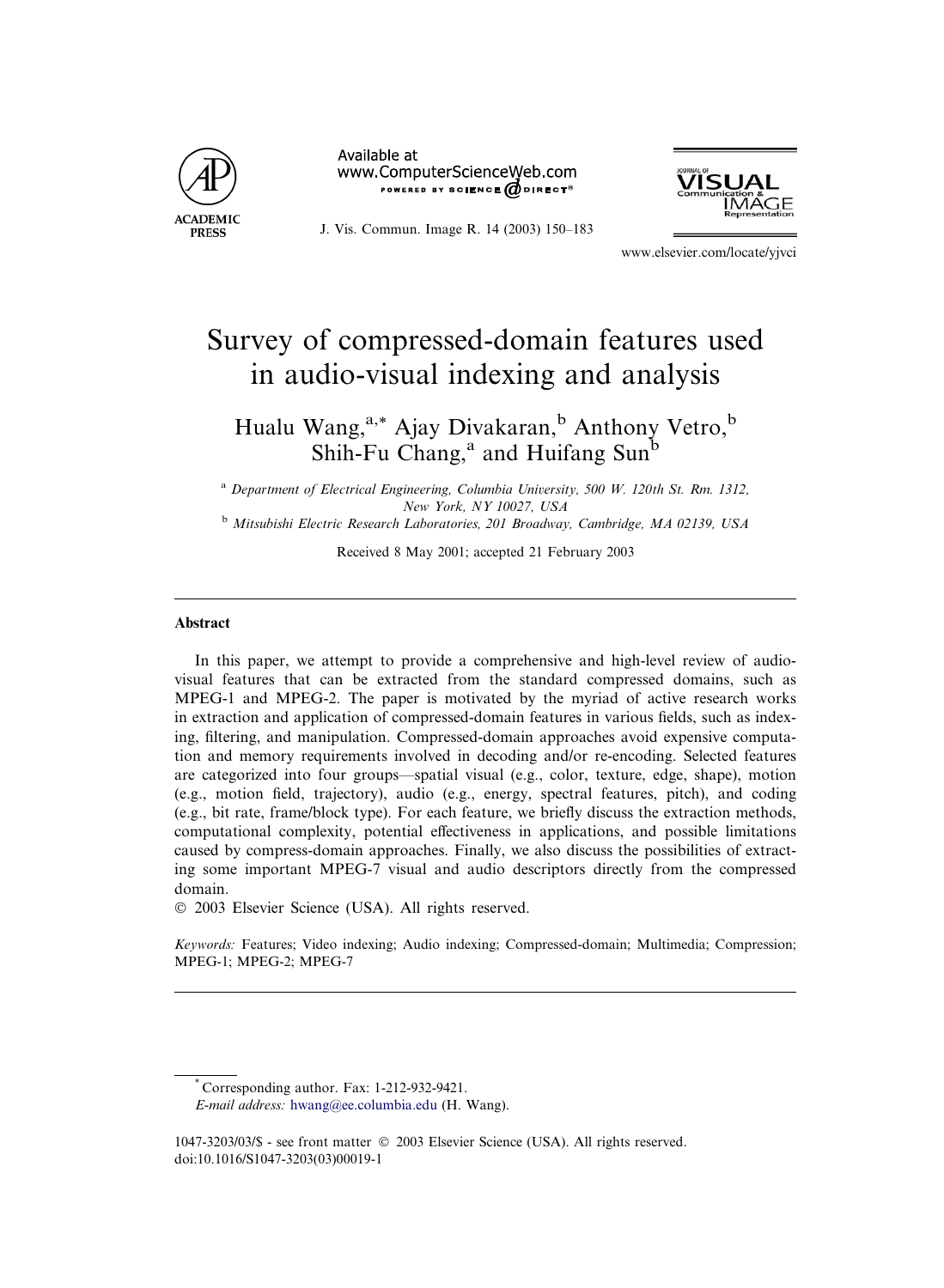

Available at www.ComputerScienceWeb.com POWERED BY SCIENCE @DIRECT®

J. Vis. Commun. Image R. 14 (2003) 150–183



www.elsevier.com/locate/yjvci

# Survey of compressed-domain features used in audio-visual indexing and analysis

Hualu Wang,<sup>a,\*</sup> Ajay Divakaran,<sup>b</sup> Anthony Vetro,<sup>b</sup> Shih-Fu Chang, $^{\rm a}$  and Huifang Sun $^{\rm b}$ 

 $a$  Department of Electrical Engineering, Columbia University, 500 W, 120th St. Rm, 1312, New York, NY 10027, USA

<sup>b</sup> Mitsubishi Electric Research Laboratories, 201 Broadway, Cambridge, MA 02139, USA

Received 8 May 2001; accepted 21 February 2003

#### Abstract

In this paper, we attempt to provide a comprehensive and high-level review of audiovisual features that can be extracted from the standard compressed domains, such as MPEG-1 and MPEG-2. The paper is motivated by the myriad of active research works in extraction and application of compressed-domain features in various fields, such as indexing, filtering, and manipulation. Compressed-domain approaches avoid expensive computation and memory requirements involved in decoding and/or re-encoding. Selected features are categorized into four groups—spatial visual (e.g., color, texture, edge, shape), motion (e.g., motion field, trajectory), audio (e.g., energy, spectral features, pitch), and coding (e.g., bit rate, frame/block type). For each feature, we briefly discuss the extraction methods, computational complexity, potential effectiveness in applications, and possible limitations caused by compress-domain approaches. Finally, we also discuss the possibilities of extracting some important MPEG-7 visual and audio descriptors directly from the compressed domain.

2003 Elsevier Science (USA). All rights reserved.

Keywords: Features; Video indexing; Audio indexing; Compressed-domain; Multimedia; Compression; MPEG-1; MPEG-2; MPEG-7

\* Corresponding author. Fax: 1-212-932-9421. E-mail address: [hwang@ee.columbia.edu](mail to: hwang@ee.columbia.edu) (H. Wang).

<sup>1047-3203/03/\$ -</sup> see front matter  $\odot$  2003 Elsevier Science (USA). All rights reserved. doi:10.1016/S1047-3203(03)00019-1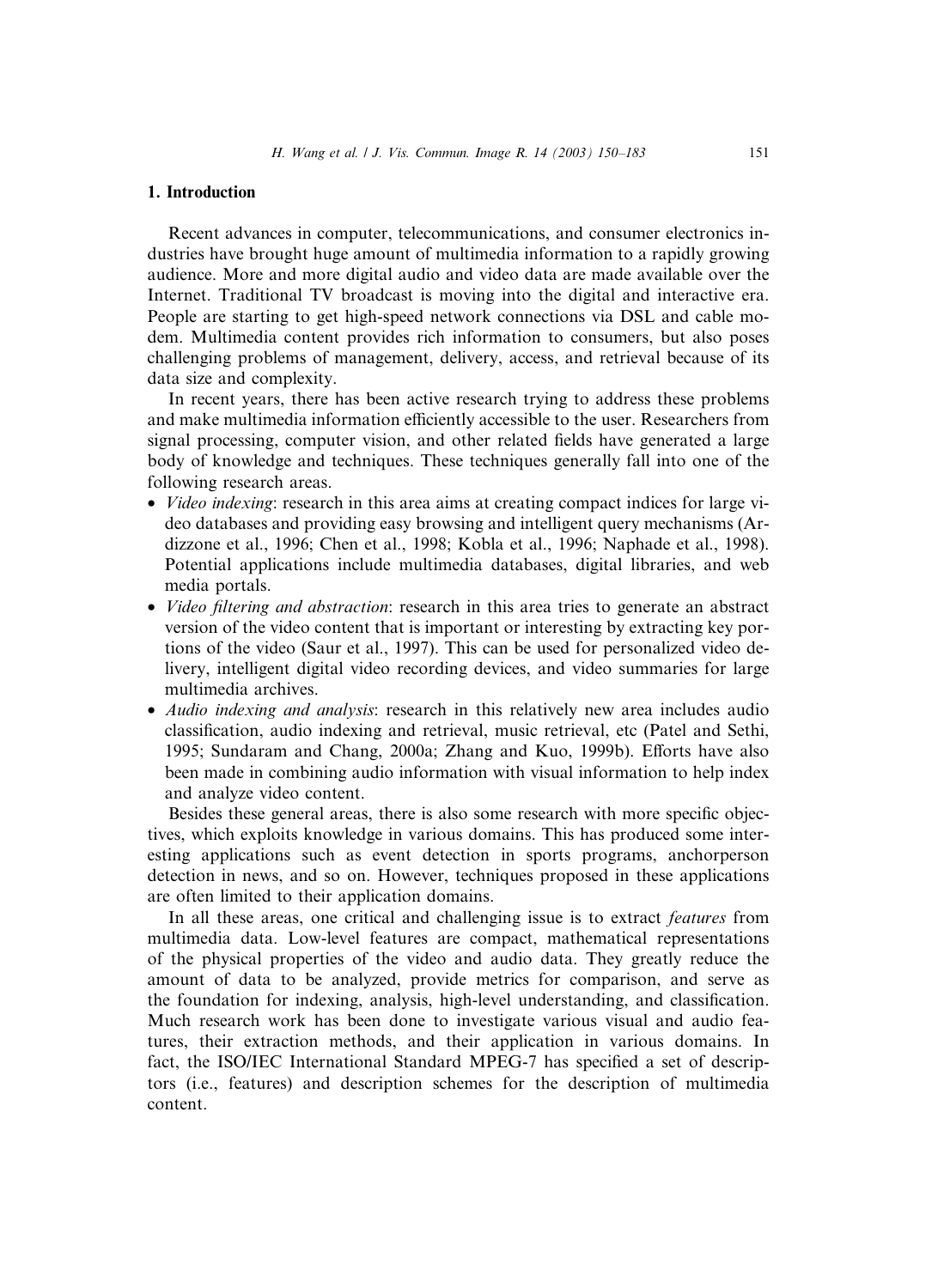# 1. Introduction

Recent advances in computer, telecommunications, and consumer electronics industries have brought huge amount of multimedia information to a rapidly growing audience. More and more digital audio and video data are made available over the Internet. Traditional TV broadcast is moving into the digital and interactive era. People are starting to get high-speed network connections via DSL and cable modem. Multimedia content provides rich information to consumers, but also poses challenging problems of management, delivery, access, and retrieval because of its data size and complexity.

In recent years, there has been active research trying to address these problems and make multimedia information efficiently accessible to the user. Researchers from signal processing, computer vision, and other related fields have generated a large body of knowledge and techniques. These techniques generally fall into one of the following research areas.

- *Video indexing*: research in this area aims at creating compact indices for large video databases and providing easy browsing and intelligent query mechanisms (Ardizzone et al., 1996; Chen et al., 1998; Kobla et al., 1996; Naphade et al., 1998). Potential applications include multimedia databases, digital libraries, and web media portals.
- *Video filtering and abstraction*: research in this area tries to generate an abstract version of the video content that is important or interesting by extracting key portions of the video (Saur et al., 1997). This can be used for personalized video delivery, intelligent digital video recording devices, and video summaries for large multimedia archives.
- *Audio indexing and analysis*: research in this relatively new area includes audio classification, audio indexing and retrieval, music retrieval, etc (Patel and Sethi, 1995; Sundaram and Chang, 2000a; Zhang and Kuo, 1999b). Efforts have also been made in combining audio information with visual information to help index and analyze video content.

Besides these general areas, there is also some research with more specific objectives, which exploits knowledge in various domains. This has produced some interesting applications such as event detection in sports programs, anchorperson detection in news, and so on. However, techniques proposed in these applications are often limited to their application domains.

In all these areas, one critical and challenging issue is to extract *features* from multimedia data. Low-level features are compact, mathematical representations of the physical properties of the video and audio data. They greatly reduce the amount of data to be analyzed, provide metrics for comparison, and serve as the foundation for indexing, analysis, high-level understanding, and classification. Much research work has been done to investigate various visual and audio features, their extraction methods, and their application in various domains. In fact, the ISO/IEC International Standard MPEG-7 has specified a set of descriptors (i.e., features) and description schemes for the description of multimedia content.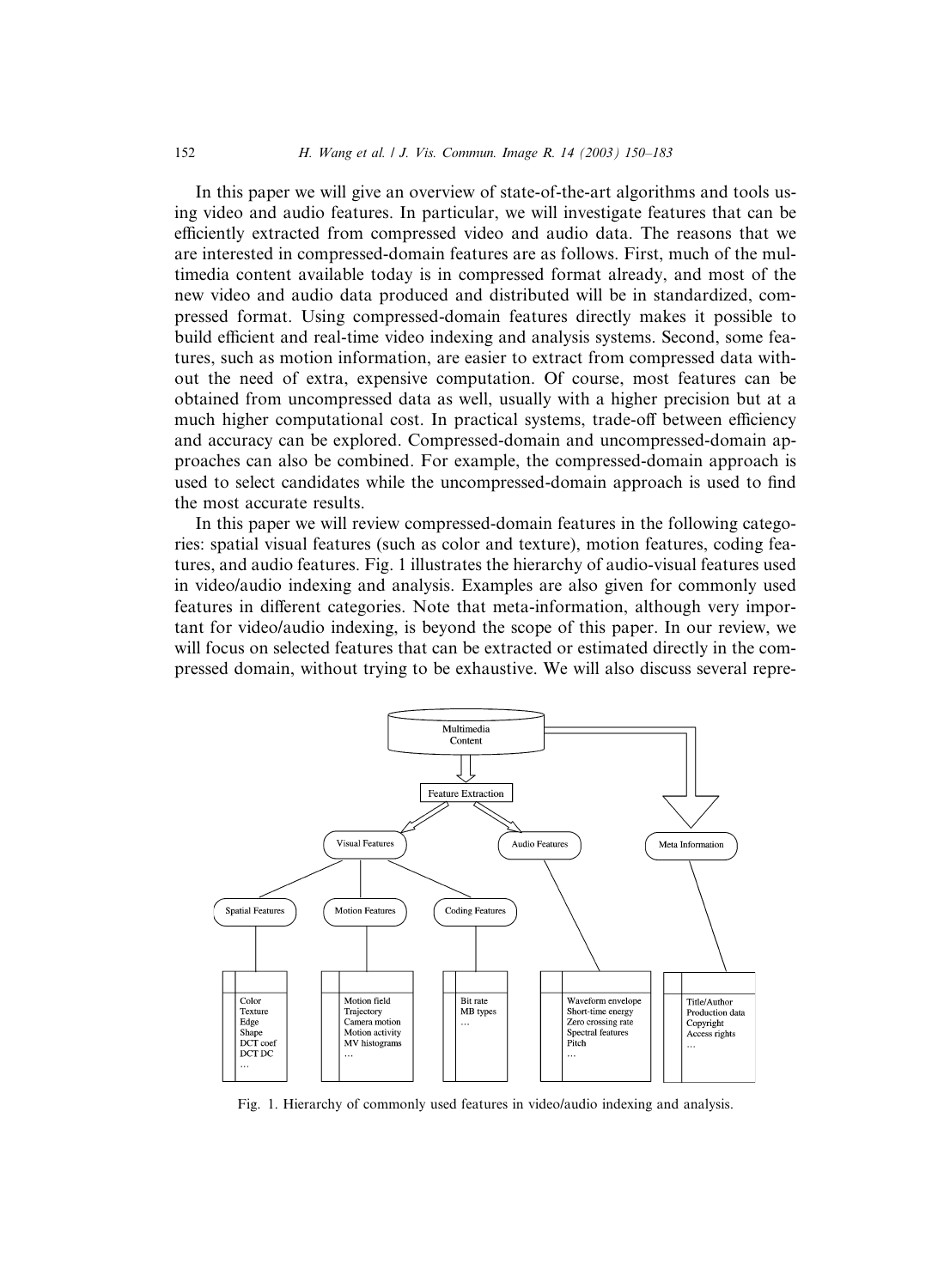In this paper we will give an overview of state-of-the-art algorithms and tools using video and audio features. In particular, we will investigate features that can be efficiently extracted from compressed video and audio data. The reasons that we are interested in compressed-domain features are as follows. First, much of the multimedia content available today is in compressed format already, and most of the new video and audio data produced and distributed will be in standardized, compressed format. Using compressed-domain features directly makes it possible to build efficient and real-time video indexing and analysis systems. Second, some features, such as motion information, are easier to extract from compressed data without the need of extra, expensive computation. Of course, most features can be obtained from uncompressed data as well, usually with a higher precision but at a much higher computational cost. In practical systems, trade-off between efficiency and accuracy can be explored. Compressed-domain and uncompressed-domain approaches can also be combined. For example, the compressed-domain approach is used to select candidates while the uncompressed-domain approach is used to find the most accurate results.

In this paper we will review compressed-domain features in the following categories: spatial visual features (such as color and texture), motion features, coding features, and audio features. Fig. 1 illustrates the hierarchy of audio-visual features used in video/audio indexing and analysis. Examples are also given for commonly used features in different categories. Note that meta-information, although very important for video/audio indexing, is beyond the scope of this paper. In our review, we will focus on selected features that can be extracted or estimated directly in the compressed domain, without trying to be exhaustive. We will also discuss several repre-



Fig. 1. Hierarchy of commonly used features in video/audio indexing and analysis.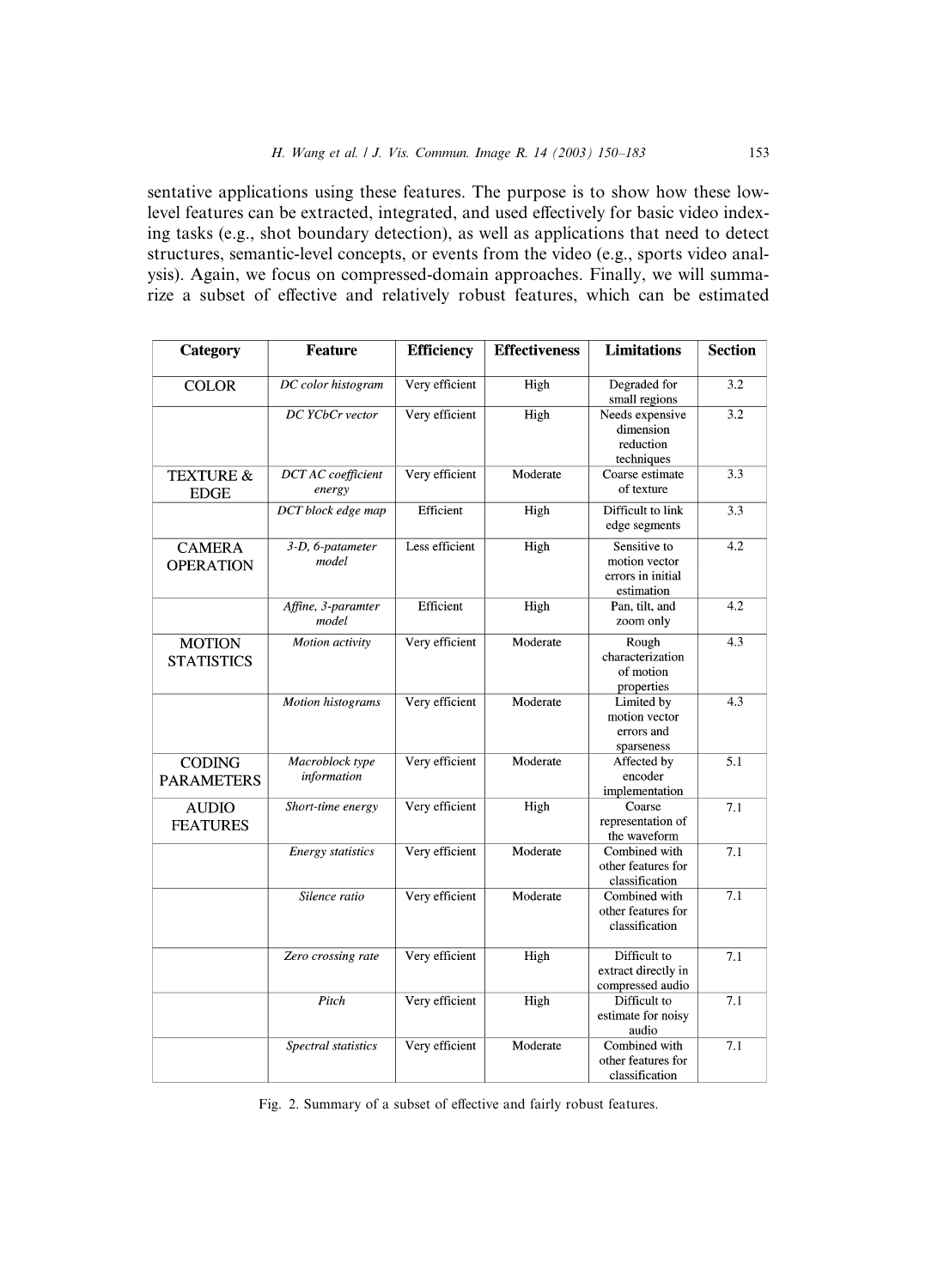sentative applications using these features. The purpose is to show how these lowlevel features can be extracted, integrated, and used effectively for basic video indexing tasks (e.g., shot boundary detection), as well as applications that need to detect structures, semantic-level concepts, or events from the video (e.g., sports video analysis). Again, we focus on compressed-domain approaches. Finally, we will summarize a subset of effective and relatively robust features, which can be estimated

| Category             | <b>Feature</b>            | <b>Efficiency</b> | <b>Effectiveness</b> | <b>Limitations</b>               | <b>Section</b> |
|----------------------|---------------------------|-------------------|----------------------|----------------------------------|----------------|
|                      |                           |                   |                      |                                  |                |
| <b>COLOR</b>         | DC color histogram        | Very efficient    | High                 | Degraded for                     | 3.2            |
|                      | DC YCbCr vector           | Very efficient    | High                 | small regions<br>Needs expensive | 3.2            |
|                      |                           |                   |                      | dimension                        |                |
|                      |                           |                   |                      | reduction                        |                |
|                      |                           |                   |                      | techniques                       |                |
| <b>TEXTURE &amp;</b> | <b>DCT AC</b> coefficient | Very efficient    | Moderate             | Coarse estimate                  | 3.3            |
| <b>EDGE</b>          | energy                    |                   |                      | of texture                       |                |
|                      | DCT block edge map        | Efficient         | High                 | Difficult to link                | 3.3            |
|                      |                           |                   |                      | edge segments                    |                |
|                      |                           | Less efficient    |                      |                                  | 4.2            |
| <b>CAMERA</b>        | 3-D, 6-patameter<br>model |                   | High                 | Sensitive to<br>motion vector    |                |
| <b>OPERATION</b>     |                           |                   |                      | errors in initial                |                |
|                      |                           |                   |                      | estimation                       |                |
|                      | Affine, 3-paramter        | Efficient         | High                 | Pan, tilt, and                   | 4.2            |
|                      | model                     |                   |                      | zoom only                        |                |
| <b>MOTION</b>        | Motion activity           | Very efficient    | Moderate             | Rough                            | 4.3            |
|                      |                           |                   |                      | characterization                 |                |
| <b>STATISTICS</b>    |                           |                   |                      | of motion                        |                |
|                      |                           |                   |                      | properties                       |                |
|                      | <b>Motion</b> histograms  | Very efficient    | Moderate             | Limited by                       | 4.3            |
|                      |                           |                   |                      | motion vector                    |                |
|                      |                           |                   |                      | errors and                       |                |
|                      |                           |                   |                      | sparseness                       |                |
| <b>CODING</b>        | Macroblock type           | Very efficient    | Moderate             | Affected by                      | 5.1            |
| <b>PARAMETERS</b>    | information               |                   |                      | encoder                          |                |
|                      |                           |                   |                      | implementation                   |                |
| <b>AUDIO</b>         | Short-time energy         | Very efficient    | High                 | Coarse                           | 7.1            |
| <b>FEATURES</b>      |                           |                   |                      | representation of                |                |
|                      |                           |                   |                      | the waveform                     |                |
|                      | <b>Energy</b> statistics  | Very efficient    | Moderate             | Combined with                    | 7.1            |
|                      |                           |                   |                      | other features for               |                |
|                      | Silence ratio             | Very efficient    | Moderate             | classification<br>Combined with  | 7.1            |
|                      |                           |                   |                      | other features for               |                |
|                      |                           |                   |                      | classification                   |                |
|                      |                           |                   |                      |                                  |                |
|                      | Zero crossing rate        | Very efficient    | High                 | Difficult to                     | 7.1            |
|                      |                           |                   |                      | extract directly in              |                |
|                      |                           |                   |                      | compressed audio                 |                |
|                      | Pitch                     | Very efficient    | High                 | Difficult to                     | 7.1            |
|                      |                           |                   |                      | estimate for noisy               |                |
|                      |                           |                   |                      | audio                            |                |
|                      | Spectral statistics       | Very efficient    | Moderate             | Combined with                    | 7.1            |
|                      |                           |                   |                      | other features for               |                |
|                      |                           |                   |                      | classification                   |                |

Fig. 2. Summary of a subset of effective and fairly robust features.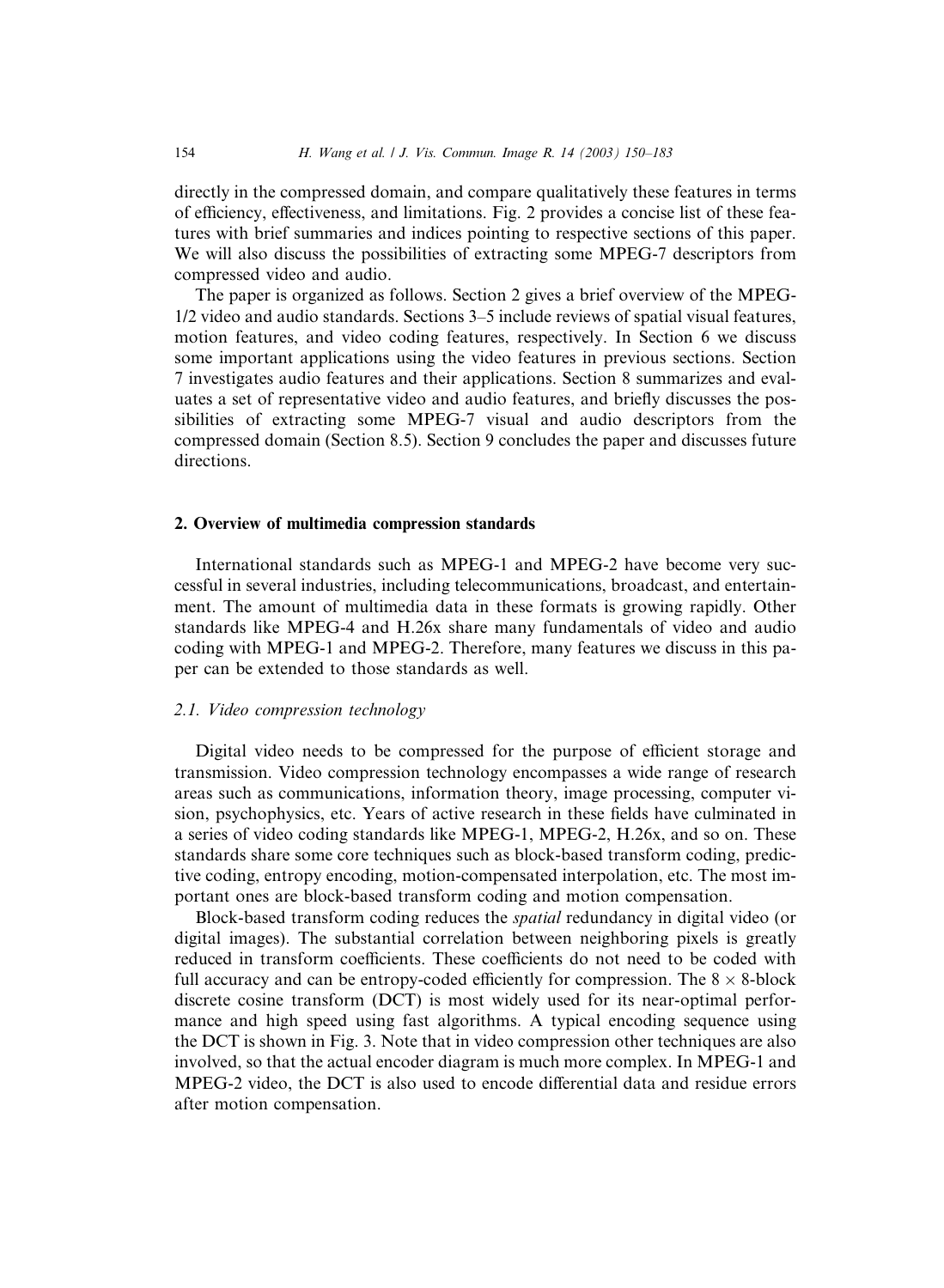directly in the compressed domain, and compare qualitatively these features in terms of efficiency, effectiveness, and limitations. Fig. 2 provides a concise list of these features with brief summaries and indices pointing to respective sections of this paper. We will also discuss the possibilities of extracting some MPEG-7 descriptors from compressed video and audio.

The paper is organized as follows. Section 2 gives a brief overview of the MPEG-1/2 video and audio standards. Sections 3–5 include reviews of spatial visual features, motion features, and video coding features, respectively. In Section 6 we discuss some important applications using the video features in previous sections. Section 7 investigates audio features and their applications. Section 8 summarizes and evaluates a set of representative video and audio features, and briefly discusses the possibilities of extracting some MPEG-7 visual and audio descriptors from the compressed domain (Section 8.5). Section 9 concludes the paper and discusses future directions.

# 2. Overview of multimedia compression standards

International standards such as MPEG-1 and MPEG-2 have become very successful in several industries, including telecommunications, broadcast, and entertainment. The amount of multimedia data in these formats is growing rapidly. Other standards like MPEG-4 and H.26x share many fundamentals of video and audio coding with MPEG-1 and MPEG-2. Therefore, many features we discuss in this paper can be extended to those standards as well.

## 2.1. Video compression technology

Digital video needs to be compressed for the purpose of efficient storage and transmission. Video compression technology encompasses a wide range of research areas such as communications, information theory, image processing, computer vision, psychophysics, etc. Years of active research in these fields have culminated in a series of video coding standards like MPEG-1, MPEG-2, H.26x, and so on. These standards share some core techniques such as block-based transform coding, predictive coding, entropy encoding, motion-compensated interpolation, etc. The most important ones are block-based transform coding and motion compensation.

Block-based transform coding reduces the spatial redundancy in digital video (or digital images). The substantial correlation between neighboring pixels is greatly reduced in transform coefficients. These coefficients do not need to be coded with full accuracy and can be entropy-coded efficiently for compression. The  $8 \times 8$ -block discrete cosine transform (DCT) is most widely used for its near-optimal performance and high speed using fast algorithms. A typical encoding sequence using the DCT is shown in Fig. 3. Note that in video compression other techniques are also involved, so that the actual encoder diagram is much more complex. In MPEG-1 and MPEG-2 video, the DCT is also used to encode differential data and residue errors after motion compensation.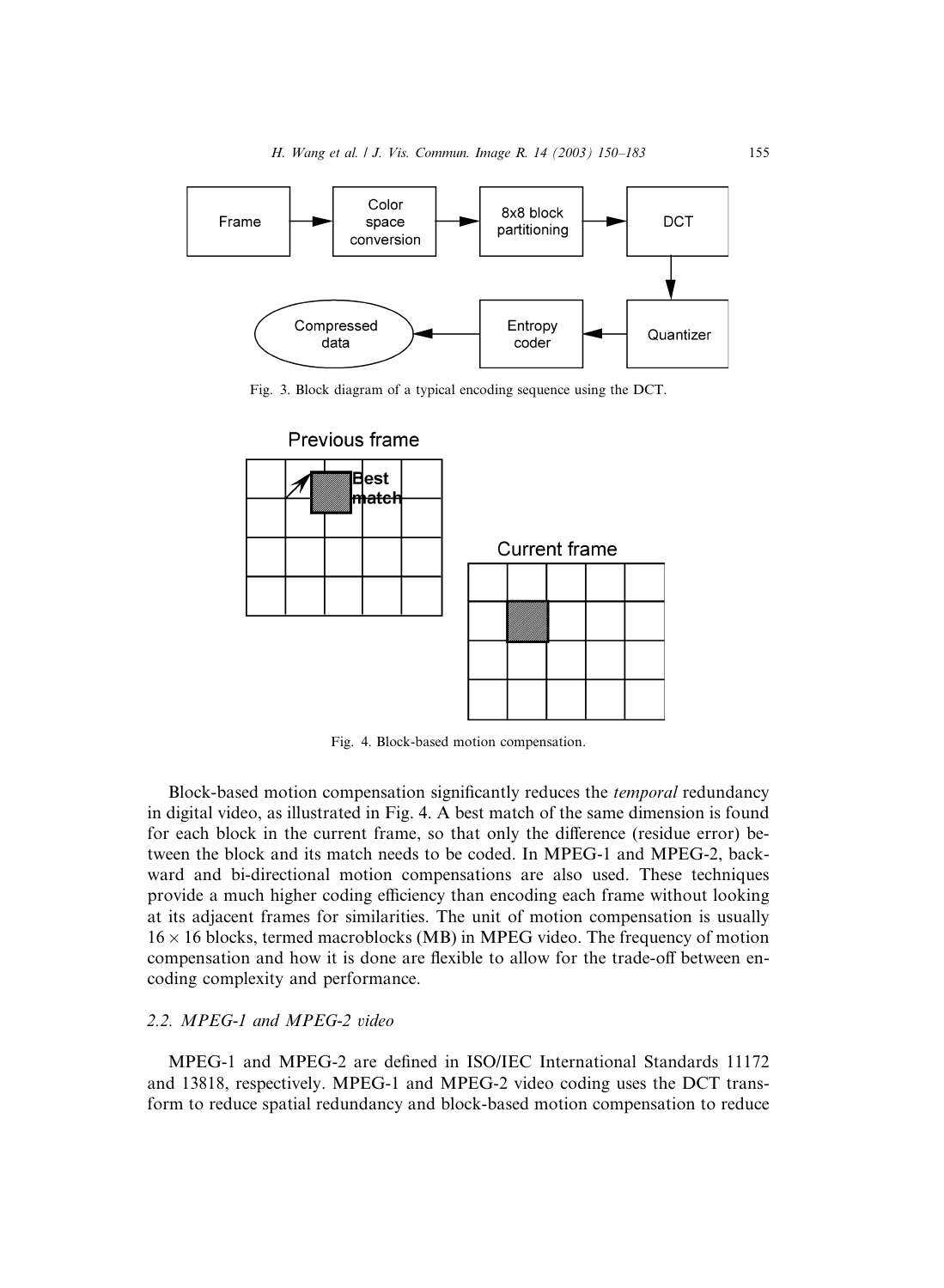

Fig. 3. Block diagram of a typical encoding sequence using the DCT.



Fig. 4. Block-based motion compensation.

Block-based motion compensation significantly reduces the temporal redundancy in digital video, as illustrated in Fig. 4. A best match of the same dimension is found for each block in the current frame, so that only the difference (residue error) between the block and its match needs to be coded. In MPEG-1 and MPEG-2, backward and bi-directional motion compensations are also used. These techniques provide a much higher coding efficiency than encoding each frame without looking at its adjacent frames for similarities. The unit of motion compensation is usually  $16 \times 16$  blocks, termed macroblocks (MB) in MPEG video. The frequency of motion compensation and how it is done are flexible to allow for the trade-off between encoding complexity and performance.

#### 2.2. MPEG-1 and MPEG-2 video

MPEG-1 and MPEG-2 are defined in ISO/IEC International Standards 11172 and 13818, respectively. MPEG-1 and MPEG-2 video coding uses the DCT transform to reduce spatial redundancy and block-based motion compensation to reduce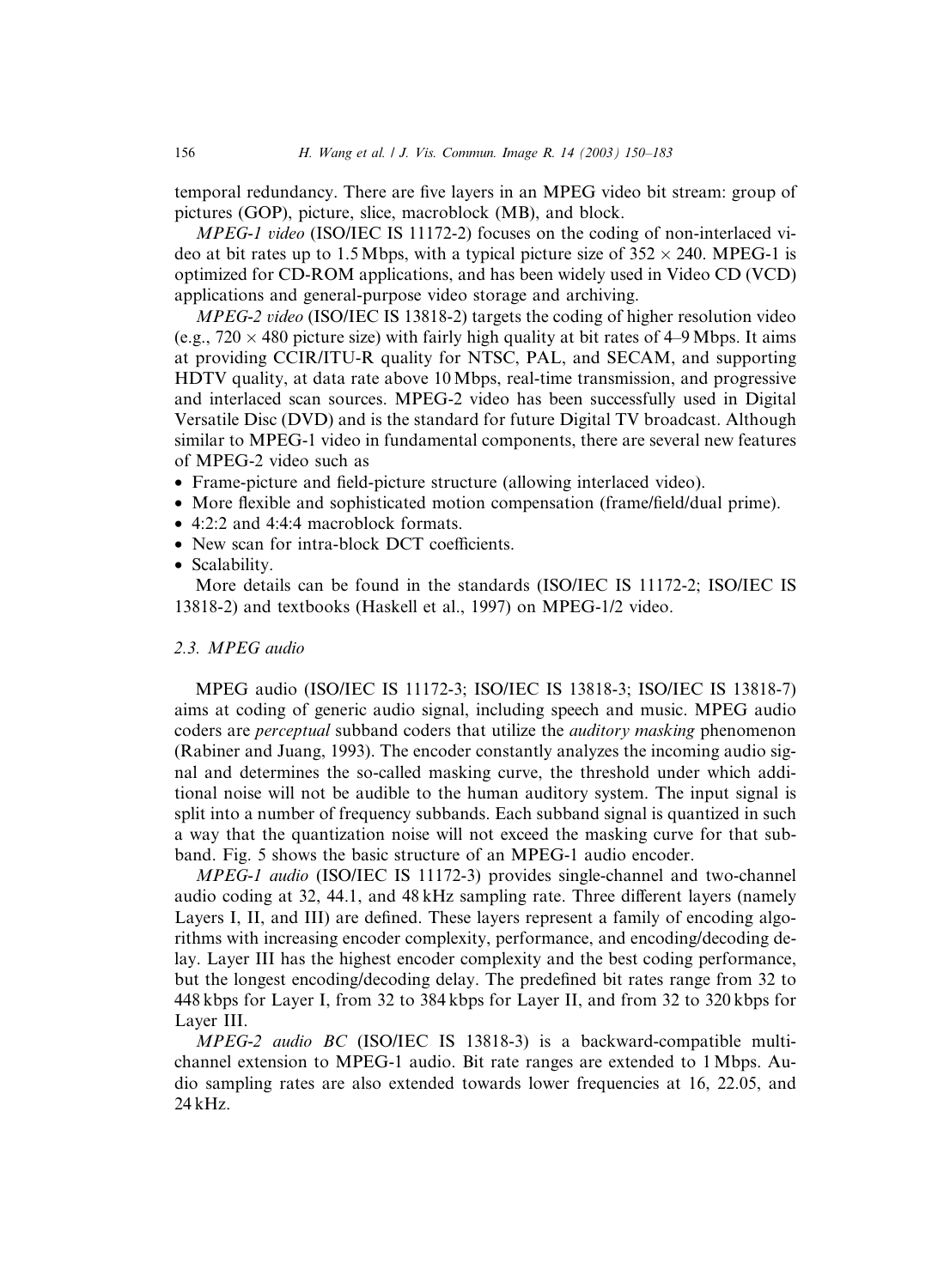temporal redundancy. There are five layers in an MPEG video bit stream: group of pictures (GOP), picture, slice, macroblock (MB), and block.

MPEG-1 video (ISO/IEC IS 11172-2) focuses on the coding of non-interlaced video at bit rates up to 1.5 Mbps, with a typical picture size of  $352 \times 240$ . MPEG-1 is optimized for CD-ROM applications, and has been widely used in Video CD (VCD) applications and general-purpose video storage and archiving.

MPEG-2 video (ISO/IEC IS 13818-2) targets the coding of higher resolution video (e.g.,  $720 \times 480$  picture size) with fairly high quality at bit rates of 4–9 Mbps. It aims at providing CCIR/ITU-R quality for NTSC, PAL, and SECAM, and supporting HDTV quality, at data rate above 10 Mbps, real-time transmission, and progressive and interlaced scan sources. MPEG-2 video has been successfully used in Digital Versatile Disc (DVD) and is the standard for future Digital TV broadcast. Although similar to MPEG-1 video in fundamental components, there are several new features of MPEG-2 video such as

• Frame-picture and field-picture structure (allowing interlaced video).

- More flexible and sophisticated motion compensation (frame/field/dual prime).
- 4:2:2 and 4:4:4 macroblock formats.
- New scan for intra-block DCT coefficients.
- Scalability.

More details can be found in the standards (ISO/IEC IS 11172-2; ISO/IEC IS 13818-2) and textbooks (Haskell et al., 1997) on MPEG-1/2 video.

# 2.3. MPEG audio

MPEG audio (ISO/IEC IS 11172-3; ISO/IEC IS 13818-3; ISO/IEC IS 13818-7) aims at coding of generic audio signal, including speech and music. MPEG audio coders are *perceptual* subband coders that utilize the *auditory masking* phenomenon (Rabiner and Juang, 1993). The encoder constantly analyzes the incoming audio signal and determines the so-called masking curve, the threshold under which additional noise will not be audible to the human auditory system. The input signal is split into a number of frequency subbands. Each subband signal is quantized in such a way that the quantization noise will not exceed the masking curve for that subband. Fig. 5 shows the basic structure of an MPEG-1 audio encoder.

MPEG-1 audio (ISO/IEC IS 11172-3) provides single-channel and two-channel audio coding at 32, 44.1, and 48 kHz sampling rate. Three different layers (namely Layers I, II, and III) are defined. These layers represent a family of encoding algorithms with increasing encoder complexity, performance, and encoding/decoding delay. Layer III has the highest encoder complexity and the best coding performance, but the longest encoding/decoding delay. The predefined bit rates range from 32 to 448 kbps for Layer I, from 32 to 384 kbps for Layer II, and from 32 to 320 kbps for Layer III.

MPEG-2 audio BC (ISO/IEC IS 13818-3) is a backward-compatible multichannel extension to MPEG-1 audio. Bit rate ranges are extended to 1 Mbps. Audio sampling rates are also extended towards lower frequencies at 16, 22.05, and 24 kHz.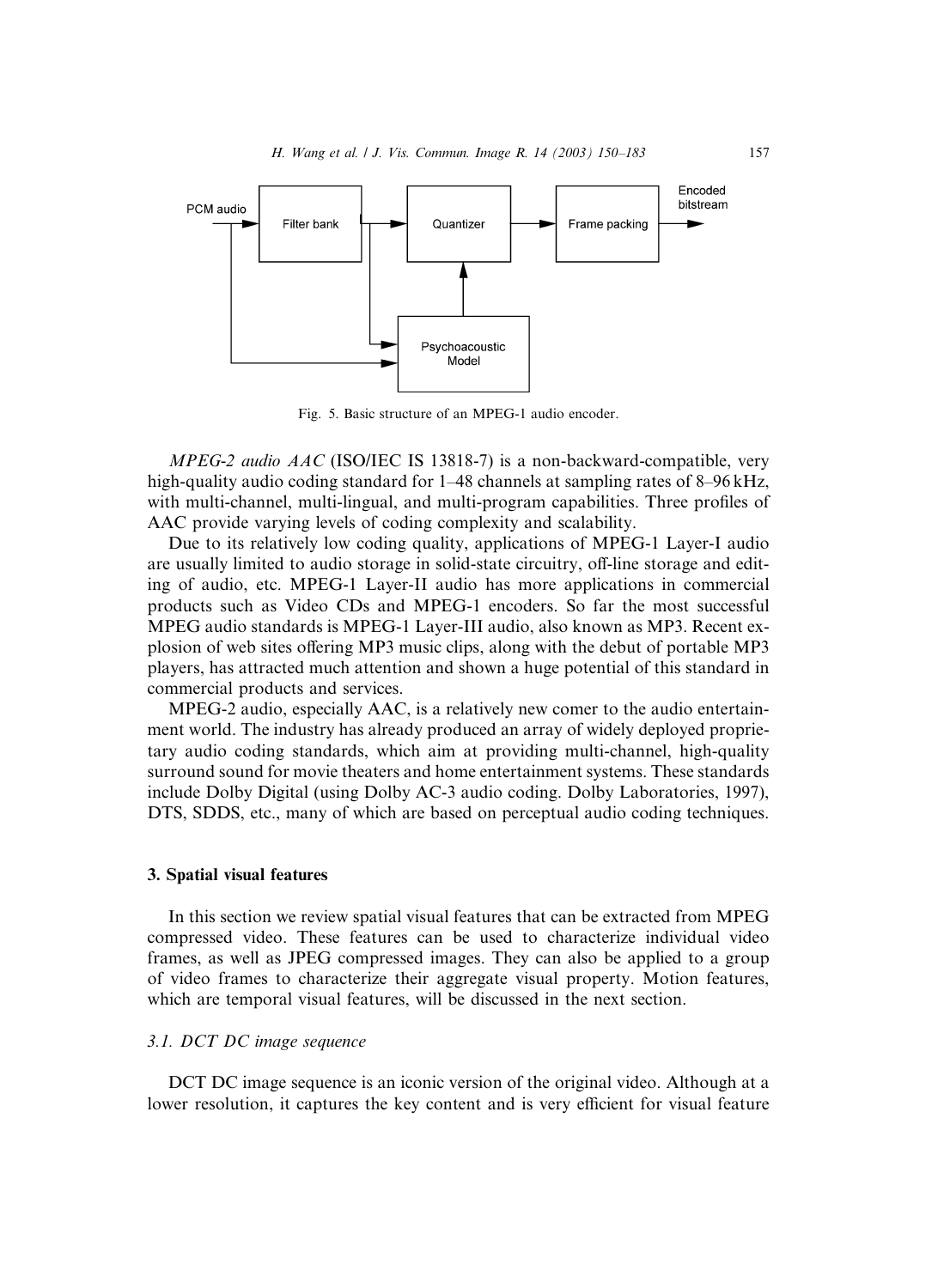

Fig. 5. Basic structure of an MPEG-1 audio encoder.

MPEG-2 audio AAC (ISO/IEC IS 13818-7) is a non-backward-compatible, very high-quality audio coding standard for 1–48 channels at sampling rates of 8–96 kHz, with multi-channel, multi-lingual, and multi-program capabilities. Three profiles of AAC provide varying levels of coding complexity and scalability.

Due to its relatively low coding quality, applications of MPEG-1 Layer-I audio are usually limited to audio storage in solid-state circuitry, off-line storage and editing of audio, etc. MPEG-1 Layer-II audio has more applications in commercial products such as Video CDs and MPEG-1 encoders. So far the most successful MPEG audio standards is MPEG-1 Layer-III audio, also known as MP3. Recent explosion of web sites offering MP3 music clips, along with the debut of portable MP3 players, has attracted much attention and shown a huge potential of this standard in commercial products and services.

MPEG-2 audio, especially AAC, is a relatively new comer to the audio entertainment world. The industry has already produced an array of widely deployed proprietary audio coding standards, which aim at providing multi-channel, high-quality surround sound for movie theaters and home entertainment systems. These standards include Dolby Digital (using Dolby AC-3 audio coding. Dolby Laboratories, 1997), DTS, SDDS, etc., many of which are based on perceptual audio coding techniques.

# 3. Spatial visual features

In this section we review spatial visual features that can be extracted from MPEG compressed video. These features can be used to characterize individual video frames, as well as JPEG compressed images. They can also be applied to a group of video frames to characterize their aggregate visual property. Motion features, which are temporal visual features, will be discussed in the next section.

# 3.1. DCT DC image sequence

DCT DC image sequence is an iconic version of the original video. Although at a lower resolution, it captures the key content and is very efficient for visual feature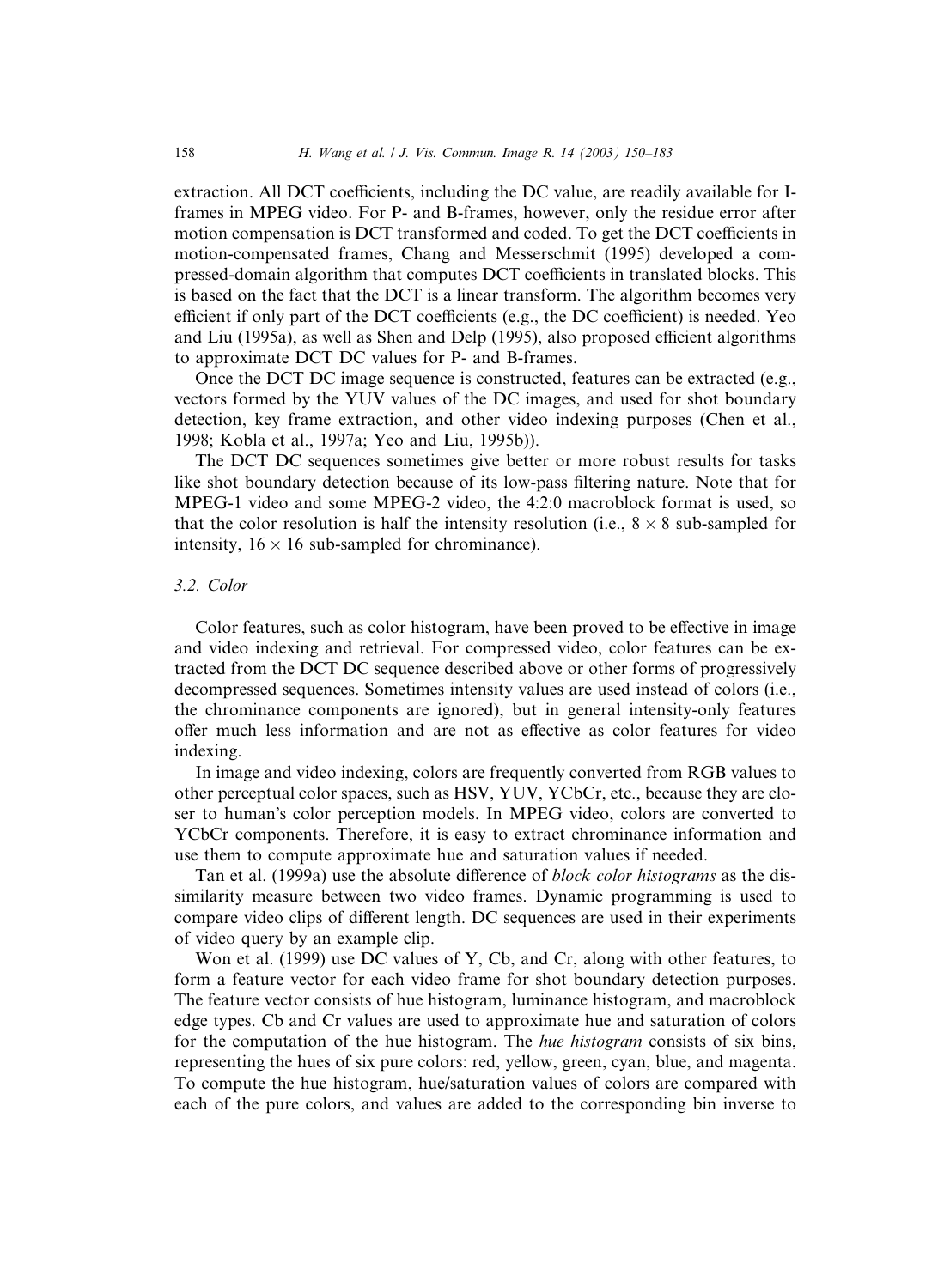extraction. All DCT coefficients, including the DC value, are readily available for Iframes in MPEG video. For P- and B-frames, however, only the residue error after motion compensation is DCT transformed and coded. To get the DCT coefficients in motion-compensated frames, Chang and Messerschmit (1995) developed a compressed-domain algorithm that computes DCT coefficients in translated blocks. This is based on the fact that the DCT is a linear transform. The algorithm becomes very efficient if only part of the DCT coefficients (e.g., the DC coefficient) is needed. Yeo and Liu (1995a), as well as Shen and Delp (1995), also proposed efficient algorithms to approximate DCT DC values for P- and B-frames.

Once the DCT DC image sequence is constructed, features can be extracted (e.g., vectors formed by the YUV values of the DC images, and used for shot boundary detection, key frame extraction, and other video indexing purposes (Chen et al., 1998; Kobla et al., 1997a; Yeo and Liu, 1995b)).

The DCT DC sequences sometimes give better or more robust results for tasks like shot boundary detection because of its low-pass filtering nature. Note that for MPEG-1 video and some MPEG-2 video, the 4:2:0 macroblock format is used, so that the color resolution is half the intensity resolution (i.e.,  $8 \times 8$  sub-sampled for intensity,  $16 \times 16$  sub-sampled for chrominance).

# 3.2. Color

Color features, such as color histogram, have been proved to be effective in image and video indexing and retrieval. For compressed video, color features can be extracted from the DCT DC sequence described above or other forms of progressively decompressed sequences. Sometimes intensity values are used instead of colors (i.e., the chrominance components are ignored), but in general intensity-only features offer much less information and are not as effective as color features for video indexing.

In image and video indexing, colors are frequently converted from RGB values to other perceptual color spaces, such as HSV, YUV, YCbCr, etc., because they are closer to human's color perception models. In MPEG video, colors are converted to YCbCr components. Therefore, it is easy to extract chrominance information and use them to compute approximate hue and saturation values if needed.

Tan et al. (1999a) use the absolute difference of *block color histograms* as the dissimilarity measure between two video frames. Dynamic programming is used to compare video clips of different length. DC sequences are used in their experiments of video query by an example clip.

Won et al. (1999) use DC values of Y, Cb, and Cr, along with other features, to form a feature vector for each video frame for shot boundary detection purposes. The feature vector consists of hue histogram, luminance histogram, and macroblock edge types. Cb and Cr values are used to approximate hue and saturation of colors for the computation of the hue histogram. The *hue histogram* consists of six bins, representing the hues of six pure colors: red, yellow, green, cyan, blue, and magenta. To compute the hue histogram, hue/saturation values of colors are compared with each of the pure colors, and values are added to the corresponding bin inverse to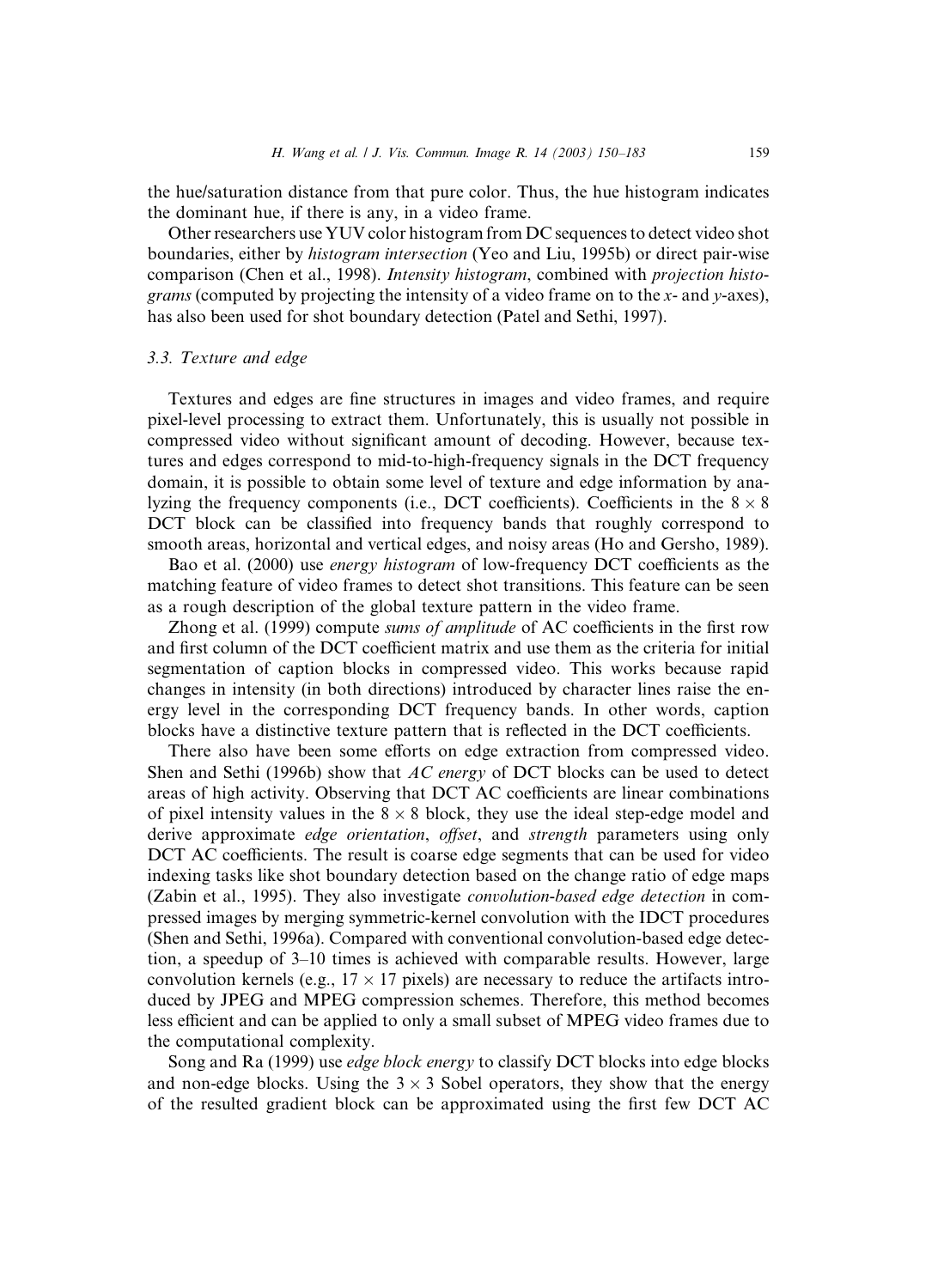the hue/saturation distance from that pure color. Thus, the hue histogram indicates the dominant hue, if there is any, in a video frame.

Other researchers use YUV color histogram from DC sequences to detect video shot boundaries, either by *histogram intersection* (Yeo and Liu, 1995b) or direct pair-wise comparison (Chen et al., 1998). Intensity histogram, combined with projection histo*grams* (computed by projecting the intensity of a video frame on to the x- and y-axes), has also been used for shot boundary detection (Patel and Sethi, 1997).

# 3.3. Texture and edge

Textures and edges are fine structures in images and video frames, and require pixel-level processing to extract them. Unfortunately, this is usually not possible in compressed video without significant amount of decoding. However, because textures and edges correspond to mid-to-high-frequency signals in the DCT frequency domain, it is possible to obtain some level of texture and edge information by analyzing the frequency components (i.e., DCT coefficients). Coefficients in the  $8 \times 8$ DCT block can be classified into frequency bands that roughly correspond to smooth areas, horizontal and vertical edges, and noisy areas (Ho and Gersho, 1989).

Bao et al. (2000) use energy histogram of low-frequency DCT coefficients as the matching feature of video frames to detect shot transitions. This feature can be seen as a rough description of the global texture pattern in the video frame.

Zhong et al. (1999) compute *sums of amplitude* of AC coefficients in the first row and first column of the DCT coefficient matrix and use them as the criteria for initial segmentation of caption blocks in compressed video. This works because rapid changes in intensity (in both directions) introduced by character lines raise the energy level in the corresponding DCT frequency bands. In other words, caption blocks have a distinctive texture pattern that is reflected in the DCT coefficients.

There also have been some efforts on edge extraction from compressed video. Shen and Sethi (1996b) show that AC energy of DCT blocks can be used to detect areas of high activity. Observing that DCT AC coefficients are linear combinations of pixel intensity values in the  $8 \times 8$  block, they use the ideal step-edge model and derive approximate *edge orientation*, *offset*, and *strength* parameters using only DCT AC coefficients. The result is coarse edge segments that can be used for video indexing tasks like shot boundary detection based on the change ratio of edge maps (Zabin et al., 1995). They also investigate *convolution-based edge detection* in compressed images by merging symmetric-kernel convolution with the IDCT procedures (Shen and Sethi, 1996a). Compared with conventional convolution-based edge detection, a speedup of 3–10 times is achieved with comparable results. However, large convolution kernels (e.g.,  $17 \times 17$  pixels) are necessary to reduce the artifacts introduced by JPEG and MPEG compression schemes. Therefore, this method becomes less efficient and can be applied to only a small subset of MPEG video frames due to the computational complexity.

Song and Ra (1999) use edge block energy to classify DCT blocks into edge blocks and non-edge blocks. Using the  $3 \times 3$  Sobel operators, they show that the energy of the resulted gradient block can be approximated using the first few DCT AC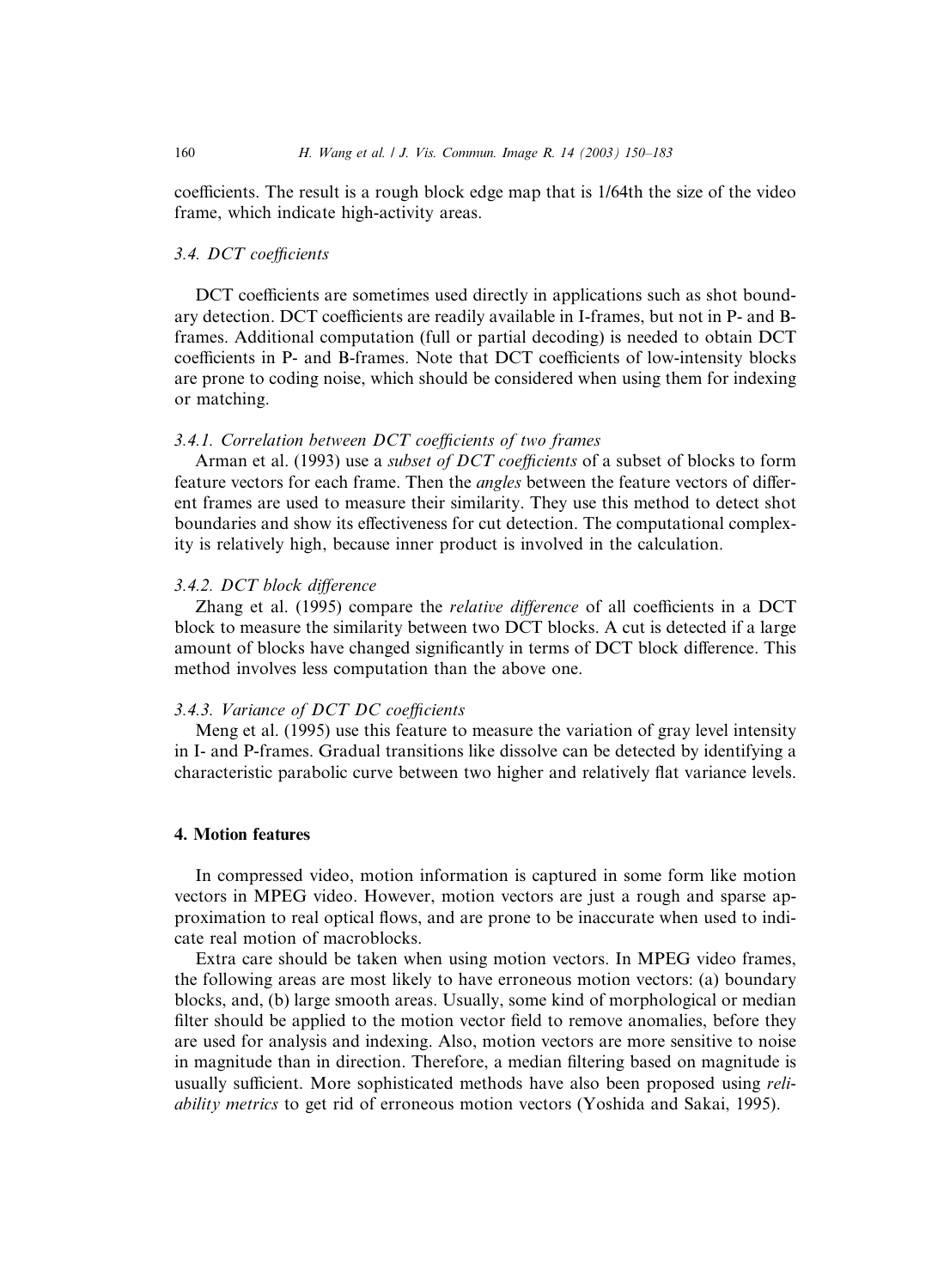coefficients. The result is a rough block edge map that is 1/64th the size of the video frame, which indicate high-activity areas.

# 3.4. DCT coefficients

DCT coefficients are sometimes used directly in applications such as shot boundary detection. DCT coefficients are readily available in I-frames, but not in P- and Bframes. Additional computation (full or partial decoding) is needed to obtain DCT coefficients in P- and B-frames. Note that DCT coefficients of low-intensity blocks are prone to coding noise, which should be considered when using them for indexing or matching.

#### 3.4.1. Correlation between DCT coefficients of two frames

Arman et al. (1993) use a *subset of DCT coefficients* of a subset of blocks to form feature vectors for each frame. Then the angles between the feature vectors of different frames are used to measure their similarity. They use this method to detect shot boundaries and show its effectiveness for cut detection. The computational complexity is relatively high, because inner product is involved in the calculation.

# 3.4.2. DCT block difference

Zhang et al. (1995) compare the relative difference of all coefficients in a DCT block to measure the similarity between two DCT blocks. A cut is detected if a large amount of blocks have changed significantly in terms of DCT block difference. This method involves less computation than the above one.

# 3.4.3. Variance of DCT DC coefficients

Meng et al. (1995) use this feature to measure the variation of gray level intensity in I- and P-frames. Gradual transitions like dissolve can be detected by identifying a characteristic parabolic curve between two higher and relatively flat variance levels.

# 4. Motion features

In compressed video, motion information is captured in some form like motion vectors in MPEG video. However, motion vectors are just a rough and sparse approximation to real optical flows, and are prone to be inaccurate when used to indicate real motion of macroblocks.

Extra care should be taken when using motion vectors. In MPEG video frames, the following areas are most likely to have erroneous motion vectors: (a) boundary blocks, and, (b) large smooth areas. Usually, some kind of morphological or median filter should be applied to the motion vector field to remove anomalies, before they are used for analysis and indexing. Also, motion vectors are more sensitive to noise in magnitude than in direction. Therefore, a median filtering based on magnitude is usually sufficient. More sophisticated methods have also been proposed using reliability metrics to get rid of erroneous motion vectors (Yoshida and Sakai, 1995).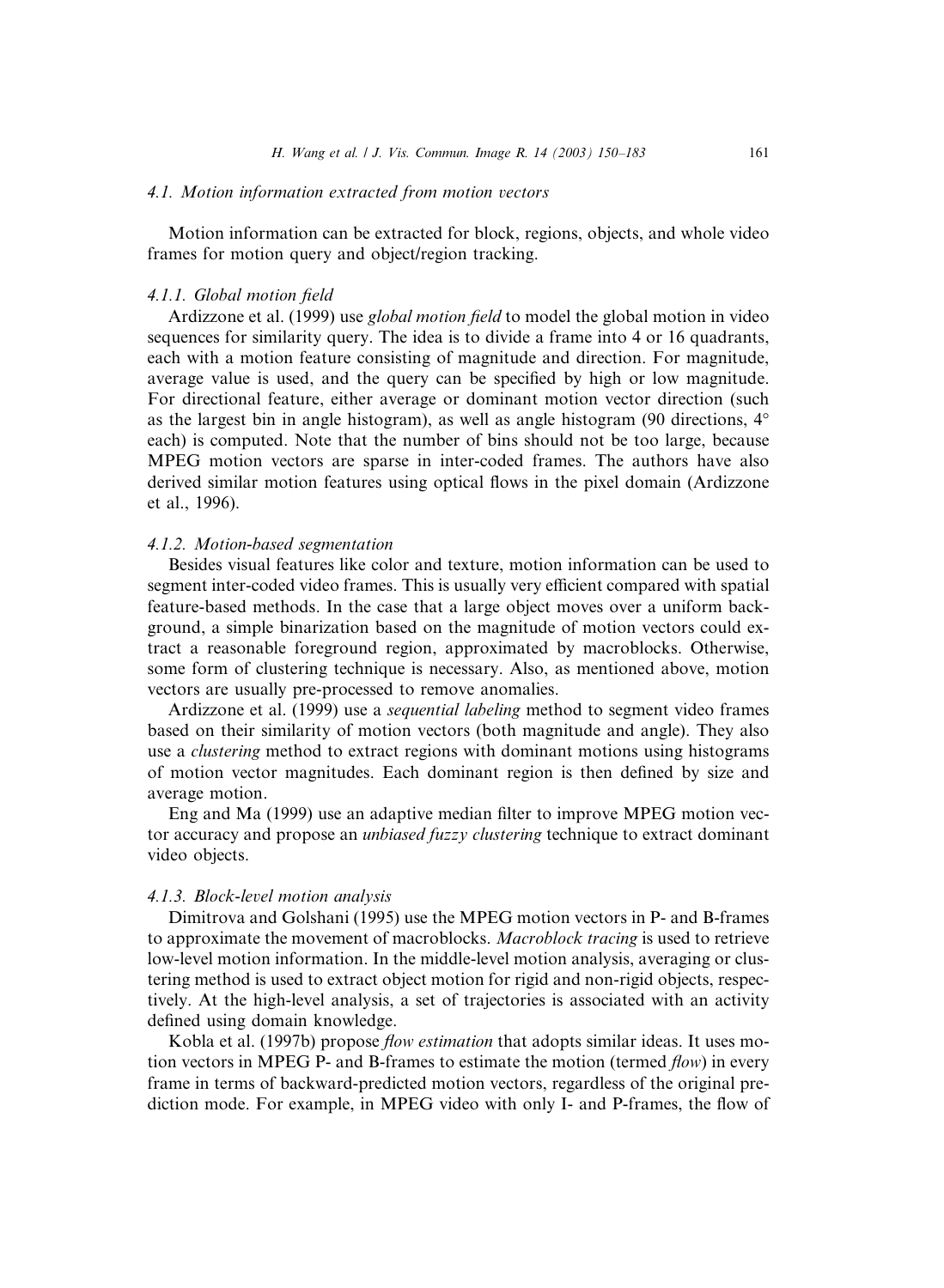#### 4.1. Motion information extracted from motion vectors

Motion information can be extracted for block, regions, objects, and whole video frames for motion query and object/region tracking.

# 4.1.1. Global motion field

Ardizzone et al. (1999) use global motion field to model the global motion in video sequences for similarity query. The idea is to divide a frame into 4 or 16 quadrants, each with a motion feature consisting of magnitude and direction. For magnitude, average value is used, and the query can be specified by high or low magnitude. For directional feature, either average or dominant motion vector direction (such as the largest bin in angle histogram), as well as angle histogram (90 directions,  $4^{\circ}$ each) is computed. Note that the number of bins should not be too large, because MPEG motion vectors are sparse in inter-coded frames. The authors have also derived similar motion features using optical flows in the pixel domain (Ardizzone et al., 1996).

#### 4.1.2. Motion-based segmentation

Besides visual features like color and texture, motion information can be used to segment inter-coded video frames. This is usually very efficient compared with spatial feature-based methods. In the case that a large object moves over a uniform background, a simple binarization based on the magnitude of motion vectors could extract a reasonable foreground region, approximated by macroblocks. Otherwise, some form of clustering technique is necessary. Also, as mentioned above, motion vectors are usually pre-processed to remove anomalies.

Ardizzone et al. (1999) use a sequential labeling method to segment video frames based on their similarity of motion vectors (both magnitude and angle). They also use a *clustering* method to extract regions with dominant motions using histograms of motion vector magnitudes. Each dominant region is then defined by size and average motion.

Eng and Ma (1999) use an adaptive median filter to improve MPEG motion vector accuracy and propose an *unbiased fuzzy clustering* technique to extract dominant video objects.

#### 4.1.3. Block-level motion analysis

Dimitrova and Golshani (1995) use the MPEG motion vectors in P- and B-frames to approximate the movement of macroblocks. Macroblock tracing is used to retrieve low-level motion information. In the middle-level motion analysis, averaging or clustering method is used to extract object motion for rigid and non-rigid objects, respectively. At the high-level analysis, a set of trajectories is associated with an activity defined using domain knowledge.

Kobla et al. (1997b) propose *flow estimation* that adopts similar ideas. It uses motion vectors in MPEG P- and B-frames to estimate the motion (termed  $flow$ ) in every frame in terms of backward-predicted motion vectors, regardless of the original prediction mode. For example, in MPEG video with only I- and P-frames, the flow of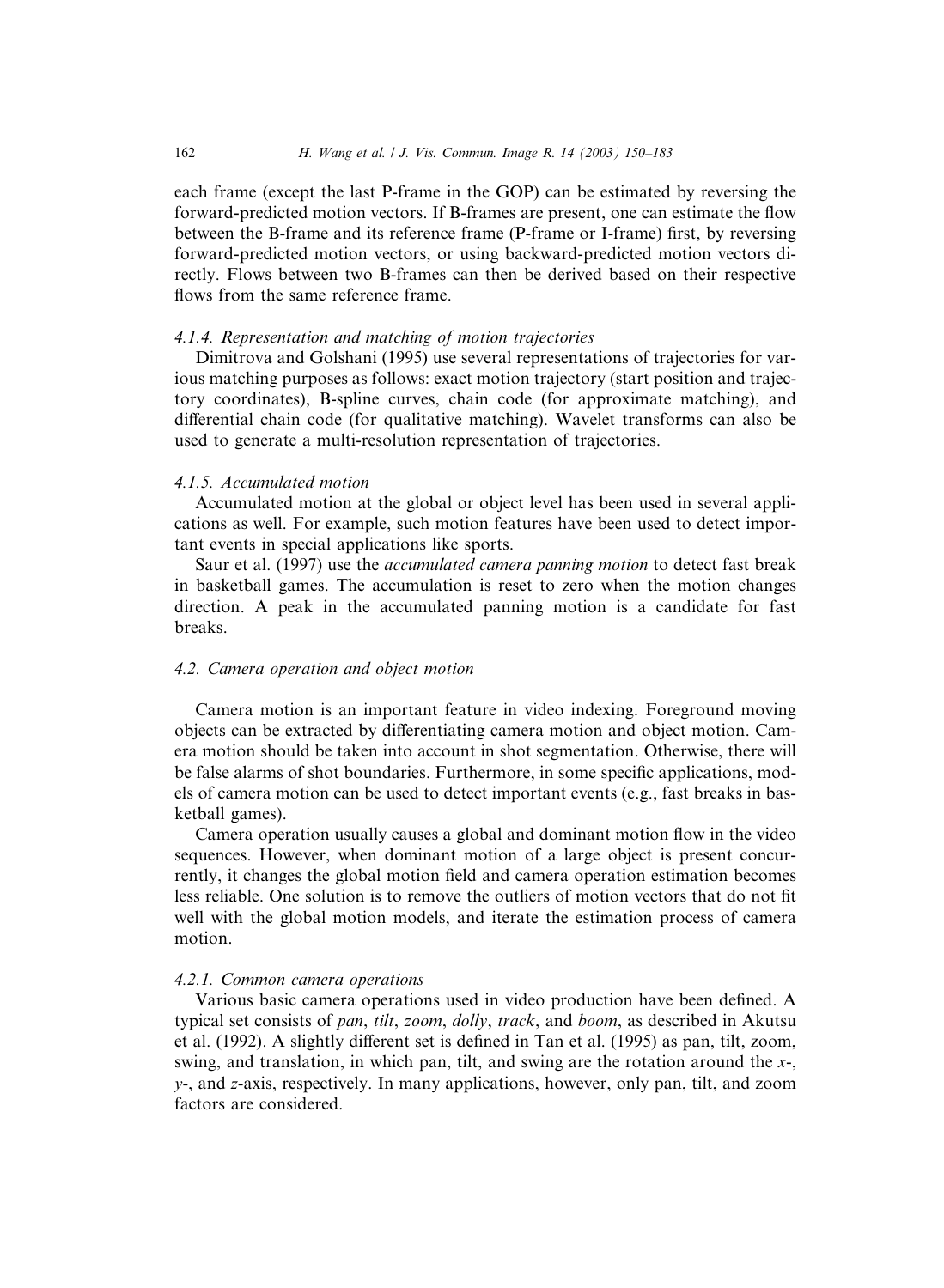each frame (except the last P-frame in the GOP) can be estimated by reversing the forward-predicted motion vectors. If B-frames are present, one can estimate the flow between the B-frame and its reference frame (P-frame or I-frame) first, by reversing forward-predicted motion vectors, or using backward-predicted motion vectors directly. Flows between two B-frames can then be derived based on their respective flows from the same reference frame.

# 4.1.4. Representation and matching of motion trajectories

Dimitrova and Golshani (1995) use several representations of trajectories for various matching purposes as follows: exact motion trajectory (start position and trajectory coordinates), B-spline curves, chain code (for approximate matching), and differential chain code (for qualitative matching). Wavelet transforms can also be used to generate a multi-resolution representation of trajectories.

# 4.1.5. Accumulated motion

Accumulated motion at the global or object level has been used in several applications as well. For example, such motion features have been used to detect important events in special applications like sports.

Saur et al. (1997) use the accumulated camera panning motion to detect fast break in basketball games. The accumulation is reset to zero when the motion changes direction. A peak in the accumulated panning motion is a candidate for fast breaks.

# 4.2. Camera operation and object motion

Camera motion is an important feature in video indexing. Foreground moving objects can be extracted by differentiating camera motion and object motion. Camera motion should be taken into account in shot segmentation. Otherwise, there will be false alarms of shot boundaries. Furthermore, in some specific applications, models of camera motion can be used to detect important events (e.g., fast breaks in basketball games).

Camera operation usually causes a global and dominant motion flow in the video sequences. However, when dominant motion of a large object is present concurrently, it changes the global motion field and camera operation estimation becomes less reliable. One solution is to remove the outliers of motion vectors that do not fit well with the global motion models, and iterate the estimation process of camera motion.

#### 4.2.1. Common camera operations

Various basic camera operations used in video production have been defined. A typical set consists of pan, tilt, zoom, dolly, track, and boom, as described in Akutsu et al. (1992). A slightly different set is defined in Tan et al. (1995) as pan, tilt, zoom, swing, and translation, in which pan, tilt, and swing are the rotation around the x-,  $\nu$ -, and z-axis, respectively. In many applications, however, only pan, tilt, and zoom factors are considered.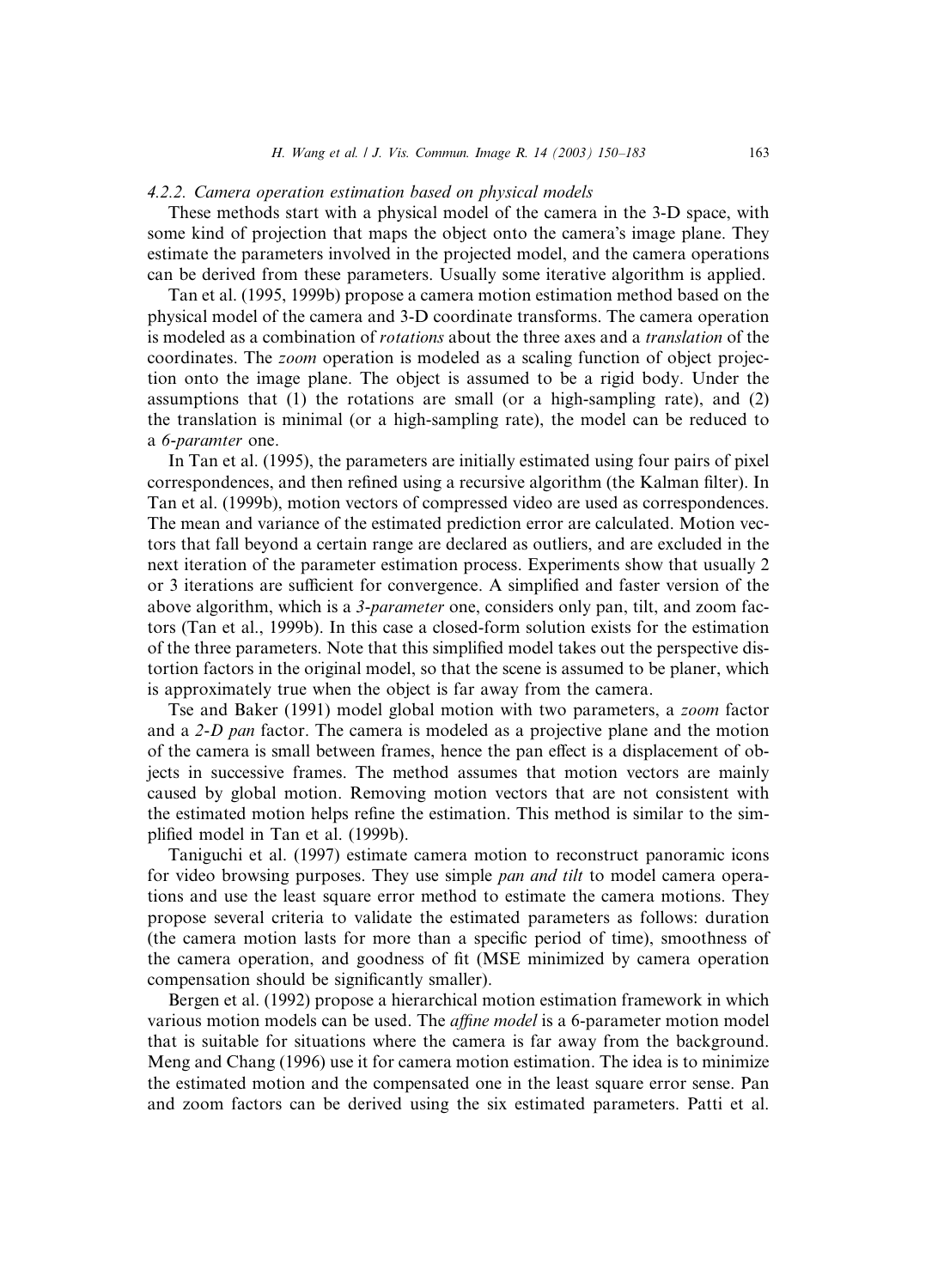#### 4.2.2. Camera operation estimation based on physical models

These methods start with a physical model of the camera in the 3-D space, with some kind of projection that maps the object onto the camera's image plane. They estimate the parameters involved in the projected model, and the camera operations can be derived from these parameters. Usually some iterative algorithm is applied.

Tan et al. (1995, 1999b) propose a camera motion estimation method based on the physical model of the camera and 3-D coordinate transforms. The camera operation is modeled as a combination of *rotations* about the three axes and a *translation* of the coordinates. The zoom operation is modeled as a scaling function of object projection onto the image plane. The object is assumed to be a rigid body. Under the assumptions that  $(1)$  the rotations are small (or a high-sampling rate), and  $(2)$ the translation is minimal (or a high-sampling rate), the model can be reduced to a 6-paramter one.

In Tan et al. (1995), the parameters are initially estimated using four pairs of pixel correspondences, and then refined using a recursive algorithm (the Kalman filter). In Tan et al. (1999b), motion vectors of compressed video are used as correspondences. The mean and variance of the estimated prediction error are calculated. Motion vectors that fall beyond a certain range are declared as outliers, and are excluded in the next iteration of the parameter estimation process. Experiments show that usually 2 or 3 iterations are sufficient for convergence. A simplified and faster version of the above algorithm, which is a 3-parameter one, considers only pan, tilt, and zoom factors (Tan et al., 1999b). In this case a closed-form solution exists for the estimation of the three parameters. Note that this simplified model takes out the perspective distortion factors in the original model, so that the scene is assumed to be planer, which is approximately true when the object is far away from the camera.

Tse and Baker (1991) model global motion with two parameters, a zoom factor and a 2-D pan factor. The camera is modeled as a projective plane and the motion of the camera is small between frames, hence the pan effect is a displacement of objects in successive frames. The method assumes that motion vectors are mainly caused by global motion. Removing motion vectors that are not consistent with the estimated motion helps refine the estimation. This method is similar to the simplified model in Tan et al. (1999b).

Taniguchi et al. (1997) estimate camera motion to reconstruct panoramic icons for video browsing purposes. They use simple *pan and tilt* to model camera operations and use the least square error method to estimate the camera motions. They propose several criteria to validate the estimated parameters as follows: duration (the camera motion lasts for more than a specific period of time), smoothness of the camera operation, and goodness of fit (MSE minimized by camera operation compensation should be significantly smaller).

Bergen et al. (1992) propose a hierarchical motion estimation framework in which various motion models can be used. The *affine model* is a 6-parameter motion model that is suitable for situations where the camera is far away from the background. Meng and Chang (1996) use it for camera motion estimation. The idea is to minimize the estimated motion and the compensated one in the least square error sense. Pan and zoom factors can be derived using the six estimated parameters. Patti et al.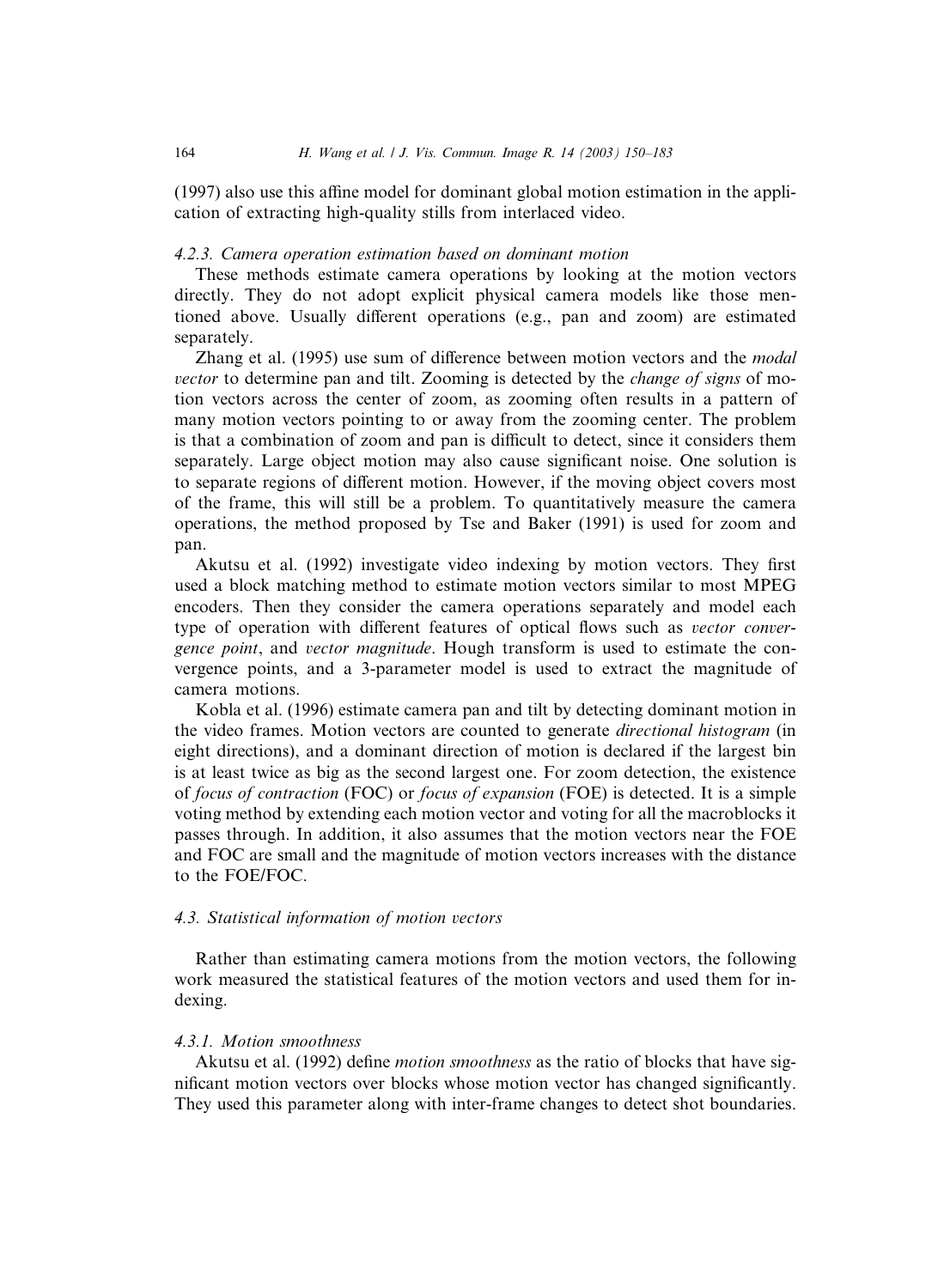(1997) also use this affine model for dominant global motion estimation in the application of extracting high-quality stills from interlaced video.

#### 4.2.3. Camera operation estimation based on dominant motion

These methods estimate camera operations by looking at the motion vectors directly. They do not adopt explicit physical camera models like those mentioned above. Usually different operations (e.g., pan and zoom) are estimated separately.

Zhang et al. (1995) use sum of difference between motion vectors and the *modal* vector to determine pan and tilt. Zooming is detected by the *change of signs* of motion vectors across the center of zoom, as zooming often results in a pattern of many motion vectors pointing to or away from the zooming center. The problem is that a combination of zoom and pan is difficult to detect, since it considers them separately. Large object motion may also cause significant noise. One solution is to separate regions of different motion. However, if the moving object covers most of the frame, this will still be a problem. To quantitatively measure the camera operations, the method proposed by Tse and Baker (1991) is used for zoom and pan.

Akutsu et al. (1992) investigate video indexing by motion vectors. They first used a block matching method to estimate motion vectors similar to most MPEG encoders. Then they consider the camera operations separately and model each type of operation with different features of optical flows such as vector convergence point, and vector magnitude. Hough transform is used to estimate the convergence points, and a 3-parameter model is used to extract the magnitude of camera motions.

Kobla et al. (1996) estimate camera pan and tilt by detecting dominant motion in the video frames. Motion vectors are counted to generate directional histogram (in eight directions), and a dominant direction of motion is declared if the largest bin is at least twice as big as the second largest one. For zoom detection, the existence of focus of contraction (FOC) or focus of expansion (FOE) is detected. It is a simple voting method by extending each motion vector and voting for all the macroblocks it passes through. In addition, it also assumes that the motion vectors near the FOE and FOC are small and the magnitude of motion vectors increases with the distance to the FOE/FOC.

# 4.3. Statistical information of motion vectors

Rather than estimating camera motions from the motion vectors, the following work measured the statistical features of the motion vectors and used them for indexing.

# 4.3.1. Motion smoothness

Akutsu et al. (1992) define motion smoothness as the ratio of blocks that have significant motion vectors over blocks whose motion vector has changed significantly. They used this parameter along with inter-frame changes to detect shot boundaries.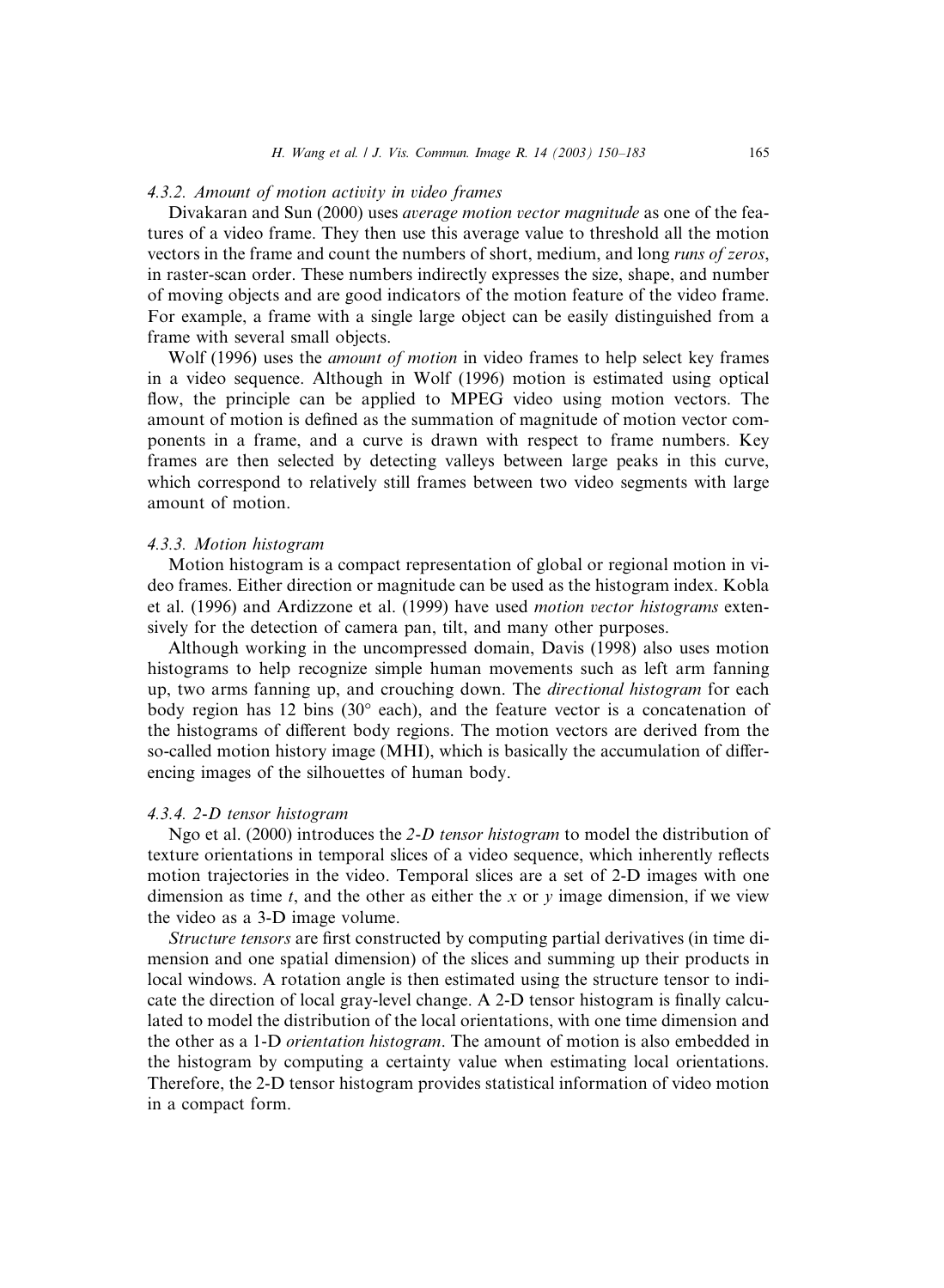#### 4.3.2. Amount of motion activity in video frames

Divakaran and Sun (2000) uses average motion vector magnitude as one of the features of a video frame. They then use this average value to threshold all the motion vectors in the frame and count the numbers of short, medium, and long runs of zeros, in raster-scan order. These numbers indirectly expresses the size, shape, and number of moving objects and are good indicators of the motion feature of the video frame. For example, a frame with a single large object can be easily distinguished from a frame with several small objects.

Wolf (1996) uses the *amount of motion* in video frames to help select key frames in a video sequence. Although in Wolf (1996) motion is estimated using optical flow, the principle can be applied to MPEG video using motion vectors. The amount of motion is defined as the summation of magnitude of motion vector components in a frame, and a curve is drawn with respect to frame numbers. Key frames are then selected by detecting valleys between large peaks in this curve, which correspond to relatively still frames between two video segments with large amount of motion.

# 4.3.3. Motion histogram

Motion histogram is a compact representation of global or regional motion in video frames. Either direction or magnitude can be used as the histogram index. Kobla et al. (1996) and Ardizzone et al. (1999) have used motion vector histograms extensively for the detection of camera pan, tilt, and many other purposes.

Although working in the uncompressed domain, Davis (1998) also uses motion histograms to help recognize simple human movements such as left arm fanning up, two arms fanning up, and crouching down. The directional histogram for each body region has 12 bins  $(30^{\circ}$  each), and the feature vector is a concatenation of the histograms of different body regions. The motion vectors are derived from the so-called motion history image (MHI), which is basically the accumulation of differencing images of the silhouettes of human body.

#### 4.3.4. 2-D tensor histogram

Ngo et al. (2000) introduces the 2-D tensor histogram to model the distribution of texture orientations in temporal slices of a video sequence, which inherently reflects motion trajectories in the video. Temporal slices are a set of 2-D images with one dimension as time t, and the other as either the x or  $y$  image dimension, if we view the video as a 3-D image volume.

Structure tensors are first constructed by computing partial derivatives (in time dimension and one spatial dimension) of the slices and summing up their products in local windows. A rotation angle is then estimated using the structure tensor to indicate the direction of local gray-level change. A 2-D tensor histogram is finally calculated to model the distribution of the local orientations, with one time dimension and the other as a 1-D orientation histogram. The amount of motion is also embedded in the histogram by computing a certainty value when estimating local orientations. Therefore, the 2-D tensor histogram provides statistical information of video motion in a compact form.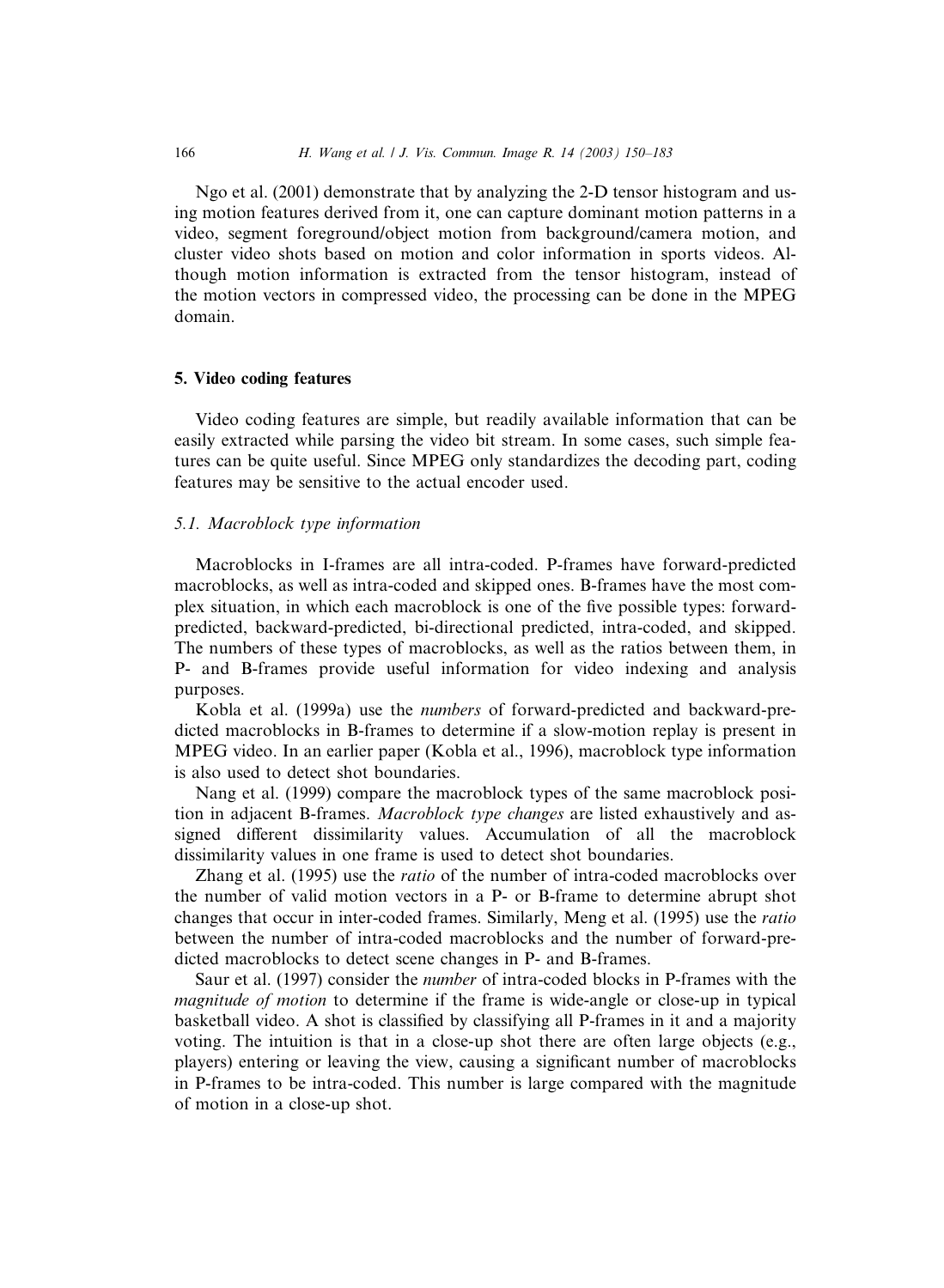Ngo et al. (2001) demonstrate that by analyzing the 2-D tensor histogram and using motion features derived from it, one can capture dominant motion patterns in a video, segment foreground/object motion from background/camera motion, and cluster video shots based on motion and color information in sports videos. Although motion information is extracted from the tensor histogram, instead of the motion vectors in compressed video, the processing can be done in the MPEG domain.

## 5. Video coding features

Video coding features are simple, but readily available information that can be easily extracted while parsing the video bit stream. In some cases, such simple features can be quite useful. Since MPEG only standardizes the decoding part, coding features may be sensitive to the actual encoder used.

#### 5.1. Macroblock type information

Macroblocks in I-frames are all intra-coded. P-frames have forward-predicted macroblocks, as well as intra-coded and skipped ones. B-frames have the most complex situation, in which each macroblock is one of the five possible types: forwardpredicted, backward-predicted, bi-directional predicted, intra-coded, and skipped. The numbers of these types of macroblocks, as well as the ratios between them, in P- and B-frames provide useful information for video indexing and analysis purposes.

Kobla et al. (1999a) use the numbers of forward-predicted and backward-predicted macroblocks in B-frames to determine if a slow-motion replay is present in MPEG video. In an earlier paper (Kobla et al., 1996), macroblock type information is also used to detect shot boundaries.

Nang et al. (1999) compare the macroblock types of the same macroblock position in adjacent B-frames. Macroblock type changes are listed exhaustively and assigned different dissimilarity values. Accumulation of all the macroblock dissimilarity values in one frame is used to detect shot boundaries.

Zhang et al. (1995) use the ratio of the number of intra-coded macroblocks over the number of valid motion vectors in a P- or B-frame to determine abrupt shot changes that occur in inter-coded frames. Similarly, Meng et al. (1995) use the ratio between the number of intra-coded macroblocks and the number of forward-predicted macroblocks to detect scene changes in P- and B-frames.

Saur et al. (1997) consider the number of intra-coded blocks in P-frames with the magnitude of motion to determine if the frame is wide-angle or close-up in typical basketball video. A shot is classified by classifying all P-frames in it and a majority voting. The intuition is that in a close-up shot there are often large objects (e.g., players) entering or leaving the view, causing a significant number of macroblocks in P-frames to be intra-coded. This number is large compared with the magnitude of motion in a close-up shot.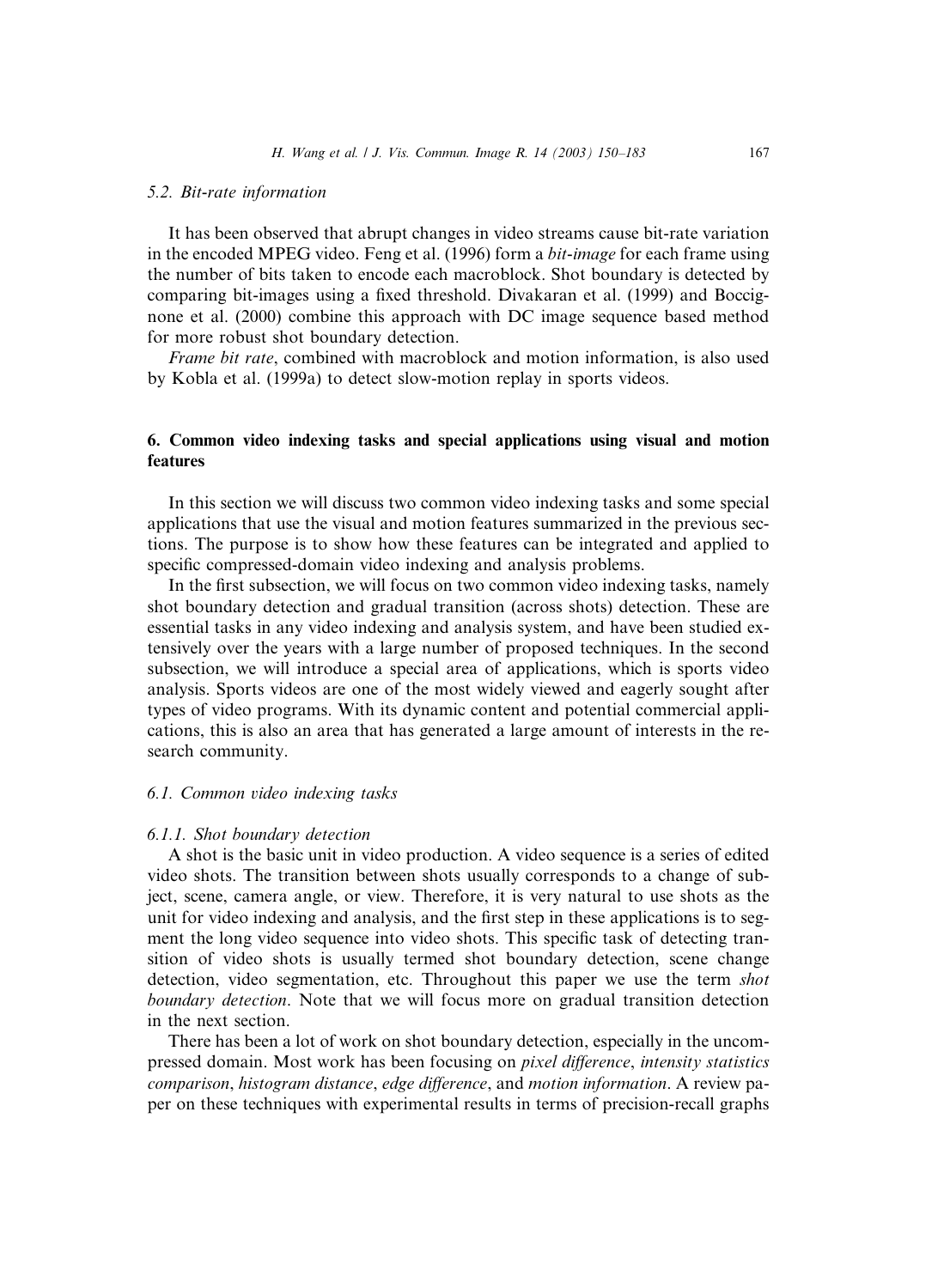### 5.2. Bit-rate information

It has been observed that abrupt changes in video streams cause bit-rate variation in the encoded MPEG video. Feng et al. (1996) form a bit-image for each frame using the number of bits taken to encode each macroblock. Shot boundary is detected by comparing bit-images using a fixed threshold. Divakaran et al. (1999) and Boccignone et al. (2000) combine this approach with DC image sequence based method for more robust shot boundary detection.

Frame bit rate, combined with macroblock and motion information, is also used by Kobla et al. (1999a) to detect slow-motion replay in sports videos.

# 6. Common video indexing tasks and special applications using visual and motion features

In this section we will discuss two common video indexing tasks and some special applications that use the visual and motion features summarized in the previous sections. The purpose is to show how these features can be integrated and applied to specific compressed-domain video indexing and analysis problems.

In the first subsection, we will focus on two common video indexing tasks, namely shot boundary detection and gradual transition (across shots) detection. These are essential tasks in any video indexing and analysis system, and have been studied extensively over the years with a large number of proposed techniques. In the second subsection, we will introduce a special area of applications, which is sports video analysis. Sports videos are one of the most widely viewed and eagerly sought after types of video programs. With its dynamic content and potential commercial applications, this is also an area that has generated a large amount of interests in the research community.

### 6.1. Common video indexing tasks

# 6.1.1. Shot boundary detection

A shot is the basic unit in video production. A video sequence is a series of edited video shots. The transition between shots usually corresponds to a change of subject, scene, camera angle, or view. Therefore, it is very natural to use shots as the unit for video indexing and analysis, and the first step in these applications is to segment the long video sequence into video shots. This specific task of detecting transition of video shots is usually termed shot boundary detection, scene change detection, video segmentation, etc. Throughout this paper we use the term *shot* boundary detection. Note that we will focus more on gradual transition detection in the next section.

There has been a lot of work on shot boundary detection, especially in the uncompressed domain. Most work has been focusing on pixel difference, intensity statistics comparison, histogram distance, edge difference, and motion information. A review paper on these techniques with experimental results in terms of precision-recall graphs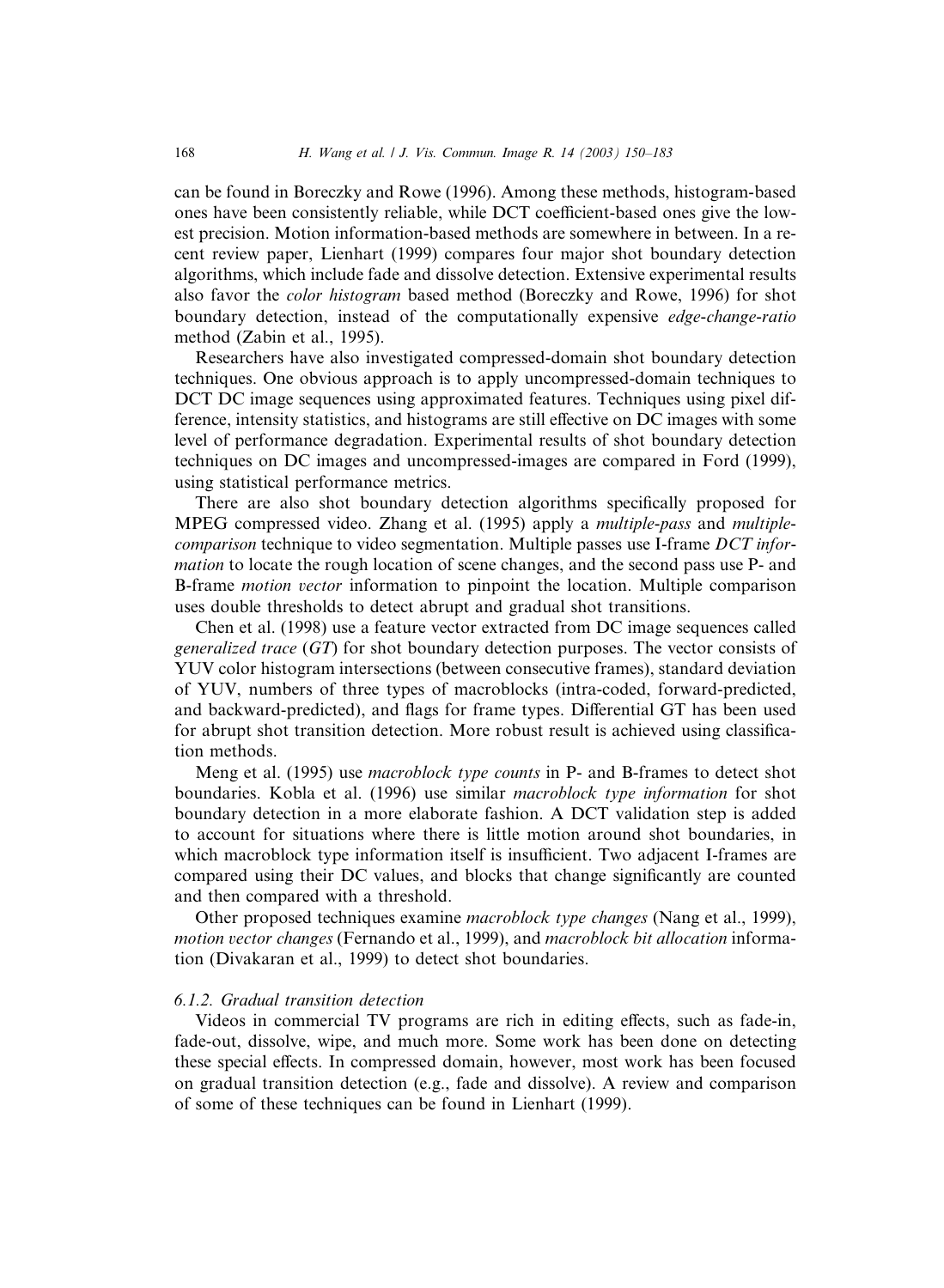can be found in Boreczky and Rowe (1996). Among these methods, histogram-based ones have been consistently reliable, while DCT coefficient-based ones give the lowest precision. Motion information-based methods are somewhere in between. In a recent review paper, Lienhart (1999) compares four major shot boundary detection algorithms, which include fade and dissolve detection. Extensive experimental results also favor the color histogram based method (Boreczky and Rowe, 1996) for shot boundary detection, instead of the computationally expensive edge-change-ratio method (Zabin et al., 1995).

Researchers have also investigated compressed-domain shot boundary detection techniques. One obvious approach is to apply uncompressed-domain techniques to DCT DC image sequences using approximated features. Techniques using pixel difference, intensity statistics, and histograms are still effective on DC images with some level of performance degradation. Experimental results of shot boundary detection techniques on DC images and uncompressed-images are compared in Ford (1999), using statistical performance metrics.

There are also shot boundary detection algorithms specifically proposed for MPEG compressed video. Zhang et al. (1995) apply a multiple-pass and multiple*comparison* technique to video segmentation. Multiple passes use I-frame  $DCT$  information to locate the rough location of scene changes, and the second pass use P- and B-frame motion vector information to pinpoint the location. Multiple comparison uses double thresholds to detect abrupt and gradual shot transitions.

Chen et al. (1998) use a feature vector extracted from DC image sequences called *generalized trace*  $(T)$  for shot boundary detection purposes. The vector consists of YUVcolor histogram intersections (between consecutive frames), standard deviation of YUV, numbers of three types of macroblocks (intra-coded, forward-predicted, and backward-predicted), and flags for frame types. Differential GT has been used for abrupt shot transition detection. More robust result is achieved using classification methods.

Meng et al. (1995) use *macroblock type counts* in P- and B-frames to detect shot boundaries. Kobla et al. (1996) use similar macroblock type information for shot boundary detection in a more elaborate fashion. A DCT validation step is added to account for situations where there is little motion around shot boundaries, in which macroblock type information itself is insufficient. Two adjacent I-frames are compared using their DC values, and blocks that change significantly are counted and then compared with a threshold.

Other proposed techniques examine macroblock type changes (Nang et al., 1999), motion vector changes (Fernando et al., 1999), and macroblock bit allocation information (Divakaran et al., 1999) to detect shot boundaries.

# 6.1.2. Gradual transition detection

Videos in commercial TV programs are rich in editing effects, such as fade-in, fade-out, dissolve, wipe, and much more. Some work has been done on detecting these special effects. In compressed domain, however, most work has been focused on gradual transition detection (e.g., fade and dissolve). A review and comparison of some of these techniques can be found in Lienhart (1999).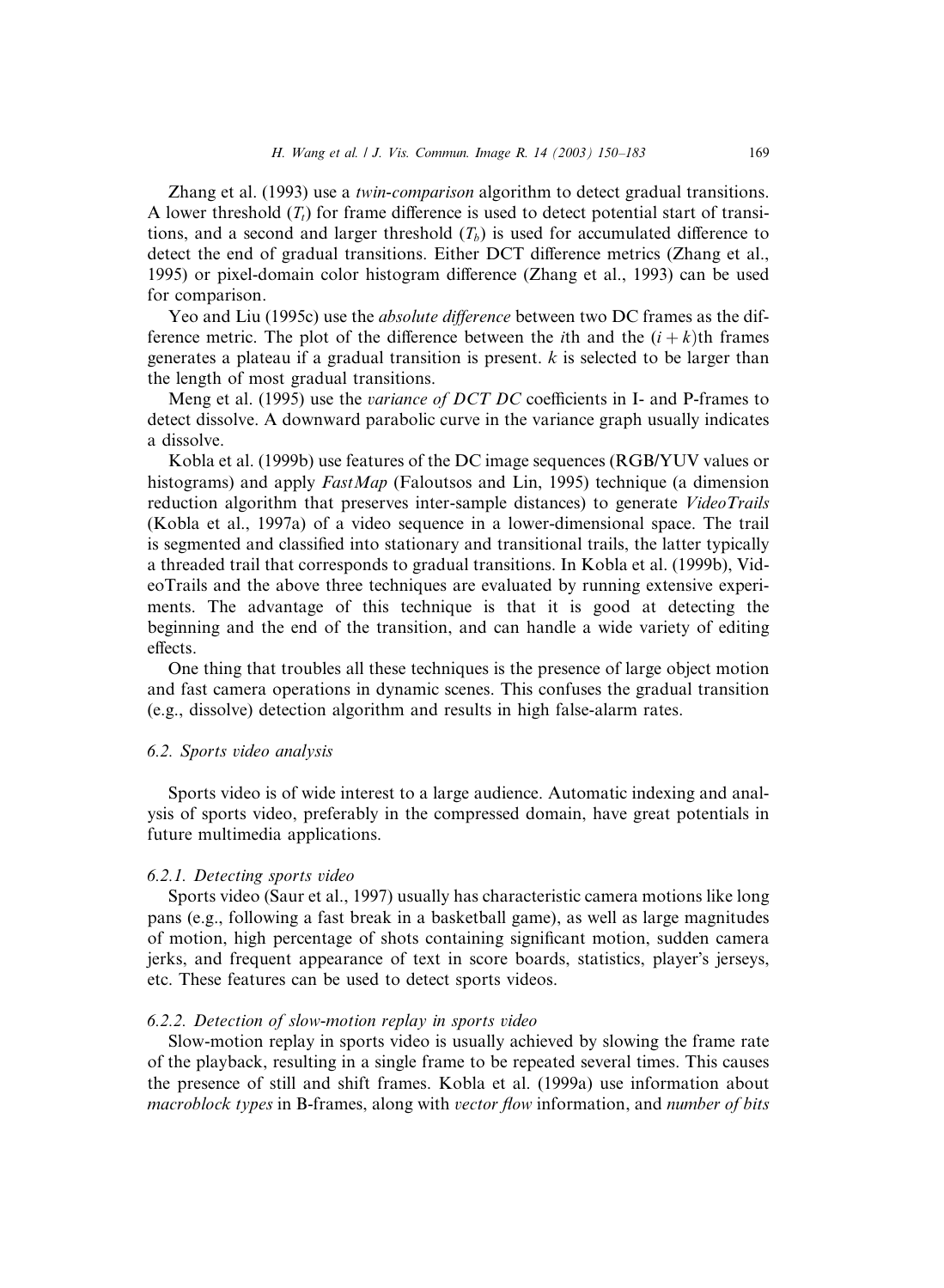Zhang et al. (1993) use a twin-comparison algorithm to detect gradual transitions. A lower threshold  $(T_t)$  for frame difference is used to detect potential start of transitions, and a second and larger threshold  $(T_b)$  is used for accumulated difference to detect the end of gradual transitions. Either DCT difference metrics (Zhang et al., 1995) or pixel-domain color histogram difference (Zhang et al., 1993) can be used for comparison.

Yeo and Liu (1995c) use the *absolute difference* between two DC frames as the difference metric. The plot of the difference between the *i*th and the  $(i + k)$ th frames generates a plateau if a gradual transition is present.  $k$  is selected to be larger than the length of most gradual transitions.

Meng et al. (1995) use the *variance of DCT DC* coefficients in I- and P-frames to detect dissolve. A downward parabolic curve in the variance graph usually indicates a dissolve.

Kobla et al. (1999b) use features of the DC image sequences (RGB/YUV values or histograms) and apply *FastMap* (Faloutsos and Lin, 1995) technique (a dimension reduction algorithm that preserves inter-sample distances) to generate VideoTrails (Kobla et al., 1997a) of a video sequence in a lower-dimensional space. The trail is segmented and classified into stationary and transitional trails, the latter typically a threaded trail that corresponds to gradual transitions. In Kobla et al. (1999b), VideoTrails and the above three techniques are evaluated by running extensive experiments. The advantage of this technique is that it is good at detecting the beginning and the end of the transition, and can handle a wide variety of editing effects.

One thing that troubles all these techniques is the presence of large object motion and fast camera operations in dynamic scenes. This confuses the gradual transition (e.g., dissolve) detection algorithm and results in high false-alarm rates.

# 6.2. Sports video analysis

Sports video is of wide interest to a large audience. Automatic indexing and analysis of sports video, preferably in the compressed domain, have great potentials in future multimedia applications.

# 6.2.1. Detecting sports video

Sports video (Saur et al., 1997) usually has characteristic camera motions like long pans (e.g., following a fast break in a basketball game), as well as large magnitudes of motion, high percentage of shots containing significant motion, sudden camera jerks, and frequent appearance of text in score boards, statistics, player's jerseys, etc. These features can be used to detect sports videos.

#### 6.2.2. Detection of slow-motion replay in sports video

Slow-motion replay in sports video is usually achieved by slowing the frame rate of the playback, resulting in a single frame to be repeated several times. This causes the presence of still and shift frames. Kobla et al. (1999a) use information about macroblock types in B-frames, along with vector flow information, and number of bits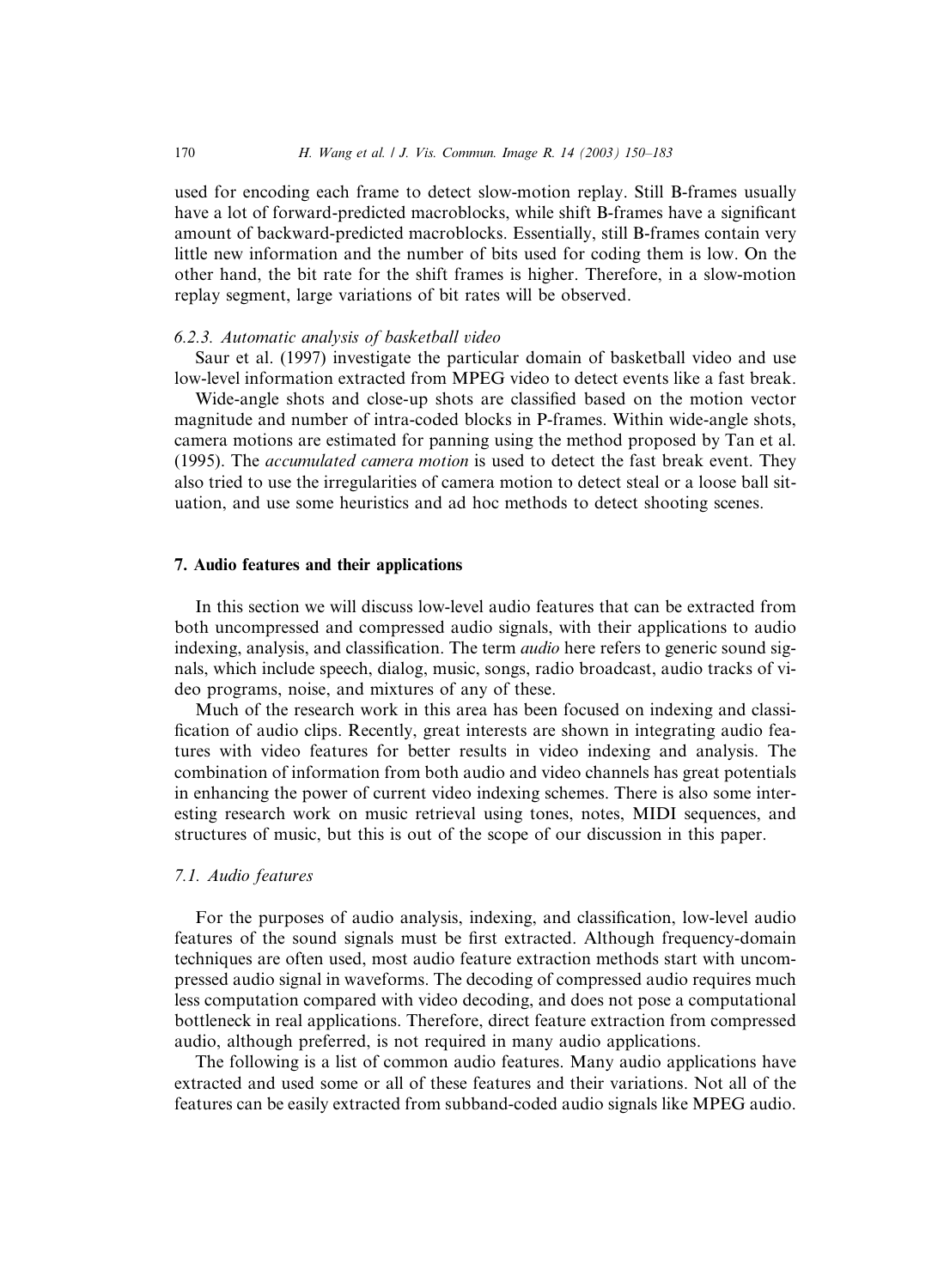used for encoding each frame to detect slow-motion replay. Still B-frames usually have a lot of forward-predicted macroblocks, while shift B-frames have a significant amount of backward-predicted macroblocks. Essentially, still B-frames contain very little new information and the number of bits used for coding them is low. On the other hand, the bit rate for the shift frames is higher. Therefore, in a slow-motion replay segment, large variations of bit rates will be observed.

#### 6.2.3. Automatic analysis of basketball video

Saur et al. (1997) investigate the particular domain of basketball video and use low-level information extracted from MPEG video to detect events like a fast break.

Wide-angle shots and close-up shots are classified based on the motion vector magnitude and number of intra-coded blocks in P-frames. Within wide-angle shots, camera motions are estimated for panning using the method proposed by Tan et al. (1995). The accumulated camera motion is used to detect the fast break event. They also tried to use the irregularities of camera motion to detect steal or a loose ball situation, and use some heuristics and ad hoc methods to detect shooting scenes.

# 7. Audio features and their applications

In this section we will discuss low-level audio features that can be extracted from both uncompressed and compressed audio signals, with their applications to audio indexing, analysis, and classification. The term *audio* here refers to generic sound signals, which include speech, dialog, music, songs, radio broadcast, audio tracks of video programs, noise, and mixtures of any of these.

Much of the research work in this area has been focused on indexing and classification of audio clips. Recently, great interests are shown in integrating audio features with video features for better results in video indexing and analysis. The combination of information from both audio and video channels has great potentials in enhancing the power of current video indexing schemes. There is also some interesting research work on music retrieval using tones, notes, MIDI sequences, and structures of music, but this is out of the scope of our discussion in this paper.

# 7.1. Audio features

For the purposes of audio analysis, indexing, and classification, low-level audio features of the sound signals must be first extracted. Although frequency-domain techniques are often used, most audio feature extraction methods start with uncompressed audio signal in waveforms. The decoding of compressed audio requires much less computation compared with video decoding, and does not pose a computational bottleneck in real applications. Therefore, direct feature extraction from compressed audio, although preferred, is not required in many audio applications.

The following is a list of common audio features. Many audio applications have extracted and used some or all of these features and their variations. Not all of the features can be easily extracted from subband-coded audio signals like MPEG audio.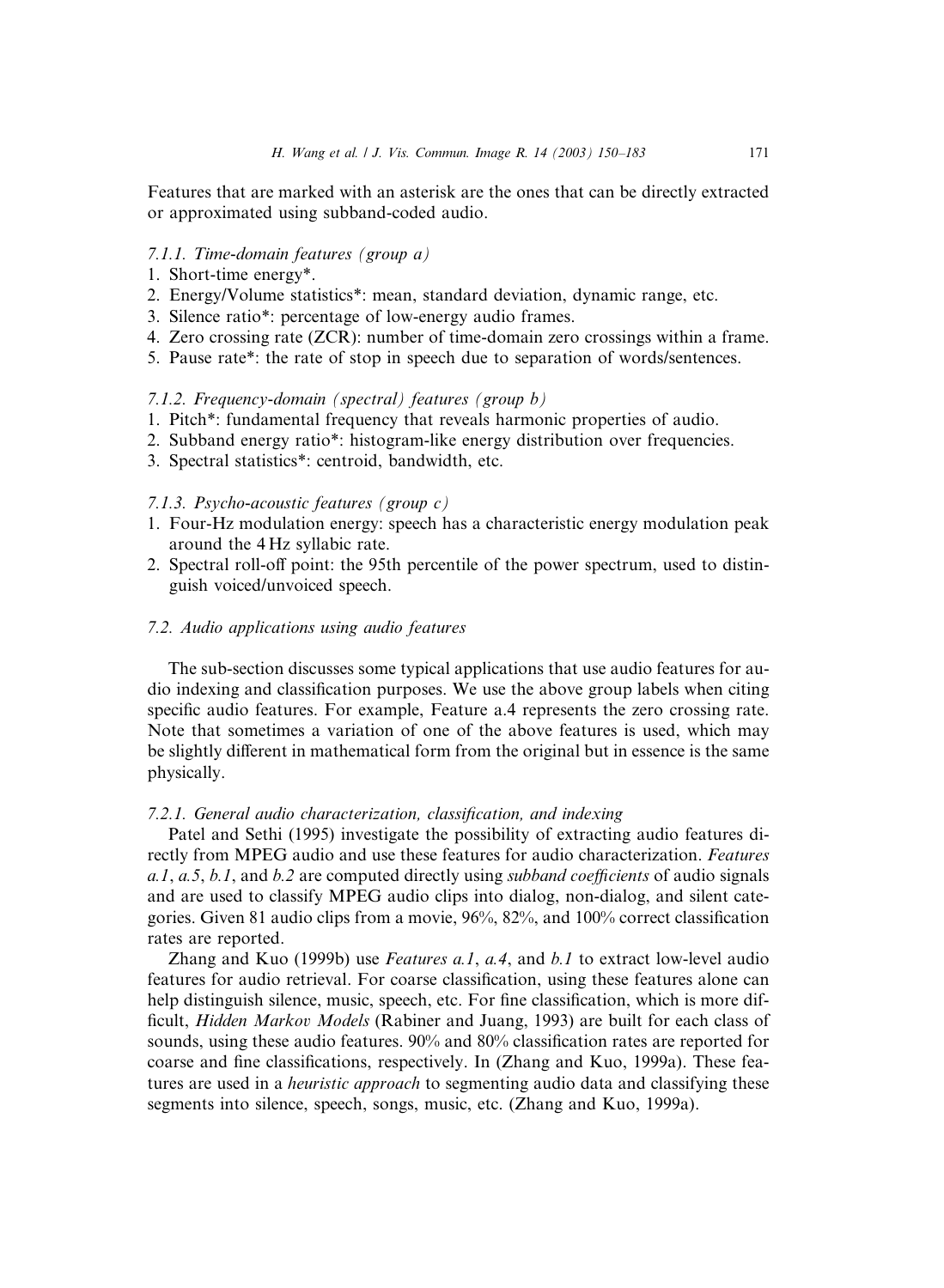Features that are marked with an asterisk are the ones that can be directly extracted or approximated using subband-coded audio.

# 7.1.1. Time-domain features (group a)

- 1. Short-time energy\*.
- 2. Energy/Volume statistics\*: mean, standard deviation, dynamic range, etc.
- 3. Silence ratio\*: percentage of low-energy audio frames.
- 4. Zero crossing rate (ZCR): number of time-domain zero crossings within a frame.
- 5. Pause rate\*: the rate of stop in speech due to separation of words/sentences.

# 7.1.2. Frequency-domain (spectral) features (group b)

- 1. Pitch\*: fundamental frequency that reveals harmonic properties of audio.
- 2. Subband energy ratio\*: histogram-like energy distribution over frequencies.
- 3. Spectral statistics\*: centroid, bandwidth, etc.

# 7.1.3. Psycho-acoustic features (group c)

- 1. Four-Hz modulation energy: speech has a characteristic energy modulation peak around the 4 Hz syllabic rate.
- 2. Spectral roll-off point: the 95th percentile of the power spectrum, used to distinguish voiced/unvoiced speech.

# 7.2. Audio applications using audio features

The sub-section discusses some typical applications that use audio features for audio indexing and classification purposes. We use the above group labels when citing specific audio features. For example, Feature a.4 represents the zero crossing rate. Note that sometimes a variation of one of the above features is used, which may be slightly different in mathematical form from the original but in essence is the same physically.

#### 7.2.1. General audio characterization, classification, and indexing

Patel and Sethi (1995) investigate the possibility of extracting audio features directly from MPEG audio and use these features for audio characterization. *Features* a.1,  $a.5$ ,  $b.1$ , and  $b.2$  are computed directly using *subband coefficients* of audio signals and are used to classify MPEG audio clips into dialog, non-dialog, and silent categories. Given 81 audio clips from a movie, 96%, 82%, and 100% correct classification rates are reported.

Zhang and Kuo (1999b) use *Features a.1*,  $a.4$ , and  $b.1$  to extract low-level audio features for audio retrieval. For coarse classification, using these features alone can help distinguish silence, music, speech, etc. For fine classification, which is more difficult, Hidden Markov Models (Rabiner and Juang, 1993) are built for each class of sounds, using these audio features. 90% and 80% classification rates are reported for coarse and fine classifications, respectively. In (Zhang and Kuo, 1999a). These features are used in a *heuristic approach* to segmenting audio data and classifying these segments into silence, speech, songs, music, etc. (Zhang and Kuo, 1999a).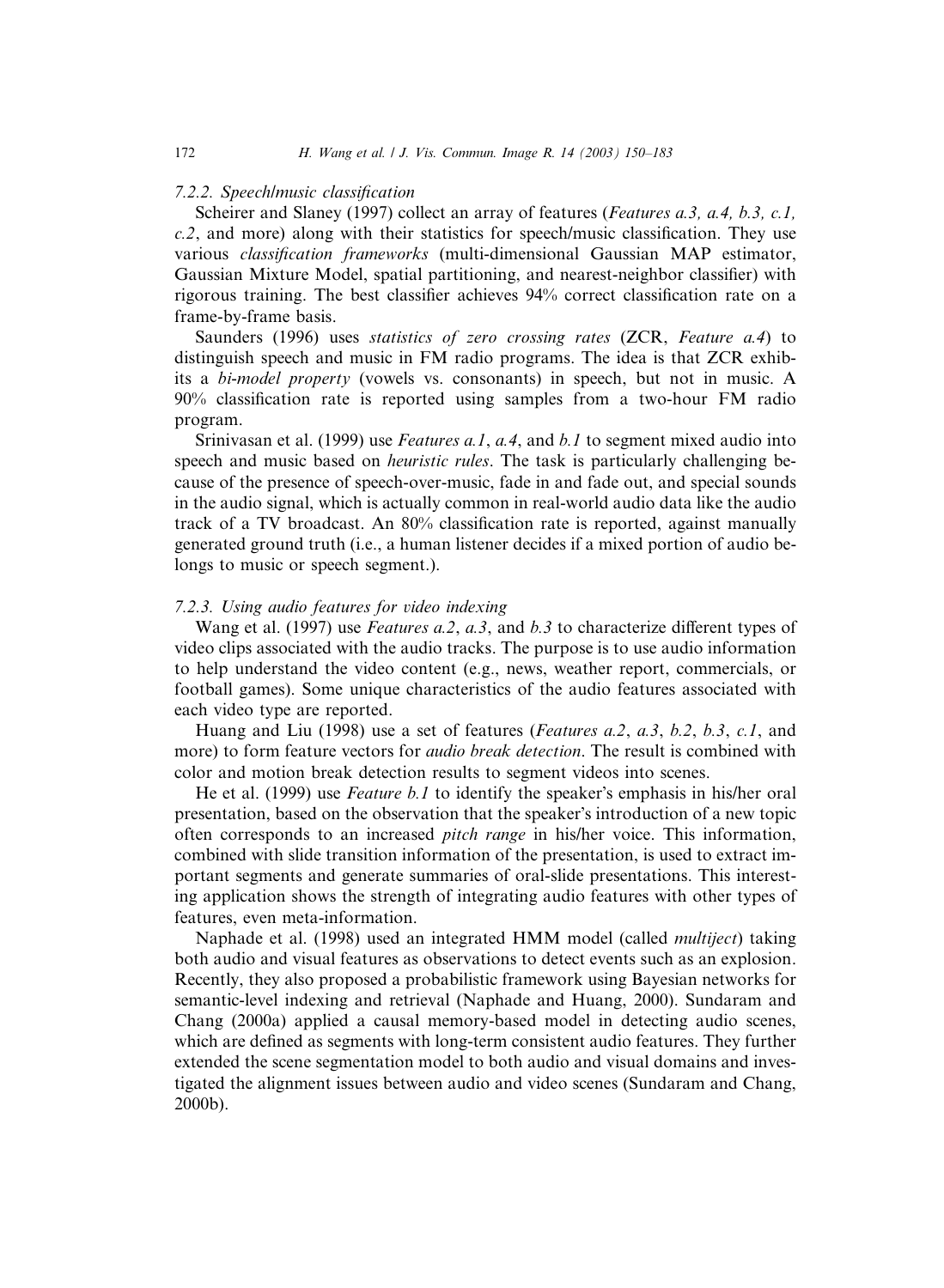#### 7.2.2. Speech/music classification

Scheirer and Slaney (1997) collect an array of features (*Features a.3, a.4, b.3, c.1,* c.2, and more) along with their statistics for speech/music classification. They use various classification frameworks (multi-dimensional Gaussian MAP estimator, Gaussian Mixture Model, spatial partitioning, and nearest-neighbor classifier) with rigorous training. The best classifier achieves 94% correct classification rate on a frame-by-frame basis.

Saunders (1996) uses statistics of zero crossing rates (ZCR, Feature a.4) to distinguish speech and music in FM radio programs. The idea is that ZCR exhibits a bi-model property (vowels vs. consonants) in speech, but not in music. A 90% classification rate is reported using samples from a two-hour FM radio program.

Srinivasan et al. (1999) use *Features a.1, a.4,* and b.1 to segment mixed audio into speech and music based on heuristic rules. The task is particularly challenging because of the presence of speech-over-music, fade in and fade out, and special sounds in the audio signal, which is actually common in real-world audio data like the audio track of a TV broadcast. An 80% classification rate is reported, against manually generated ground truth (i.e., a human listener decides if a mixed portion of audio belongs to music or speech segment.).

### 7.2.3. Using audio features for video indexing

Wang et al. (1997) use *Features a.2, a.3*, and b.3 to characterize different types of video clips associated with the audio tracks. The purpose is to use audio information to help understand the video content (e.g., news, weather report, commercials, or football games). Some unique characteristics of the audio features associated with each video type are reported.

Huang and Liu (1998) use a set of features (Features a.2, a.3, b.2, b.3, c.1, and more) to form feature vectors for *audio break detection*. The result is combined with color and motion break detection results to segment videos into scenes.

He et al. (1999) use *Feature b.1* to identify the speaker's emphasis in his/her oral presentation, based on the observation that the speaker's introduction of a new topic often corresponds to an increased pitch range in his/her voice. This information, combined with slide transition information of the presentation, is used to extract important segments and generate summaries of oral-slide presentations. This interesting application shows the strength of integrating audio features with other types of features, even meta-information.

Naphade et al. (1998) used an integrated HMM model (called multiject) taking both audio and visual features as observations to detect events such as an explosion. Recently, they also proposed a probabilistic framework using Bayesian networks for semantic-level indexing and retrieval (Naphade and Huang, 2000). Sundaram and Chang (2000a) applied a causal memory-based model in detecting audio scenes, which are defined as segments with long-term consistent audio features. They further extended the scene segmentation model to both audio and visual domains and investigated the alignment issues between audio and video scenes (Sundaram and Chang, 2000b).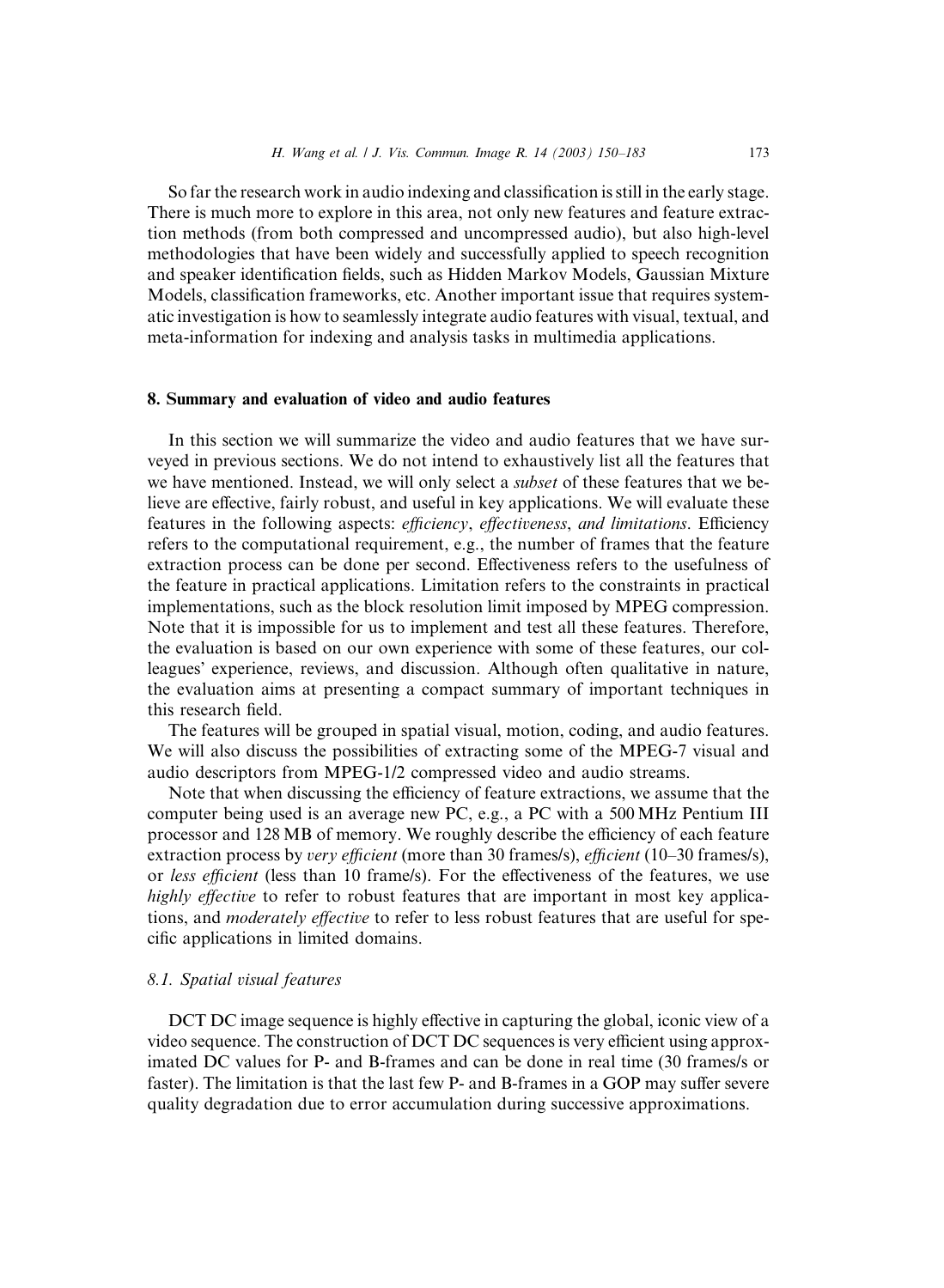So far the research work in audio indexing and classification is still in the early stage. There is much more to explore in this area, not only new features and feature extraction methods (from both compressed and uncompressed audio), but also high-level methodologies that have been widely and successfully applied to speech recognition and speaker identification fields, such as Hidden Markov Models, Gaussian Mixture Models, classification frameworks, etc. Another important issue that requires systematic investigation is how to seamlessly integrate audio features with visual, textual, and meta-information for indexing and analysis tasks in multimedia applications.

#### 8. Summary and evaluation of video and audio features

In this section we will summarize the video and audio features that we have surveyed in previous sections. We do not intend to exhaustively list all the features that we have mentioned. Instead, we will only select a *subset* of these features that we believe are effective, fairly robust, and useful in key applications. We will evaluate these features in the following aspects: *efficiency*, *effectiveness*, *and limitations*. Efficiency refers to the computational requirement, e.g., the number of frames that the feature extraction process can be done per second. Effectiveness refers to the usefulness of the feature in practical applications. Limitation refers to the constraints in practical implementations, such as the block resolution limit imposed by MPEG compression. Note that it is impossible for us to implement and test all these features. Therefore, the evaluation is based on our own experience with some of these features, our colleagues' experience, reviews, and discussion. Although often qualitative in nature, the evaluation aims at presenting a compact summary of important techniques in this research field.

The features will be grouped in spatial visual, motion, coding, and audio features. We will also discuss the possibilities of extracting some of the MPEG-7 visual and audio descriptors from MPEG-1/2 compressed video and audio streams.

Note that when discussing the efficiency of feature extractions, we assume that the computer being used is an average new PC, e.g., a PC with a 500 MHz Pentium III processor and 128 MB of memory. We roughly describe the efficiency of each feature extraction process by very efficient (more than 30 frames/s), efficient (10-30 frames/s), or less efficient (less than 10 frame/s). For the effectiveness of the features, we use highly effective to refer to robust features that are important in most key applications, and *moderately effective* to refer to less robust features that are useful for specific applications in limited domains.

#### 8.1. Spatial visual features

DCT DC image sequence is highly effective in capturing the global, iconic view of a video sequence. The construction of DCT DC sequences is very efficient using approximated DC values for P- and B-frames and can be done in real time (30 frames/s or faster). The limitation is that the last few P- and B-frames in a GOP may suffer severe quality degradation due to error accumulation during successive approximations.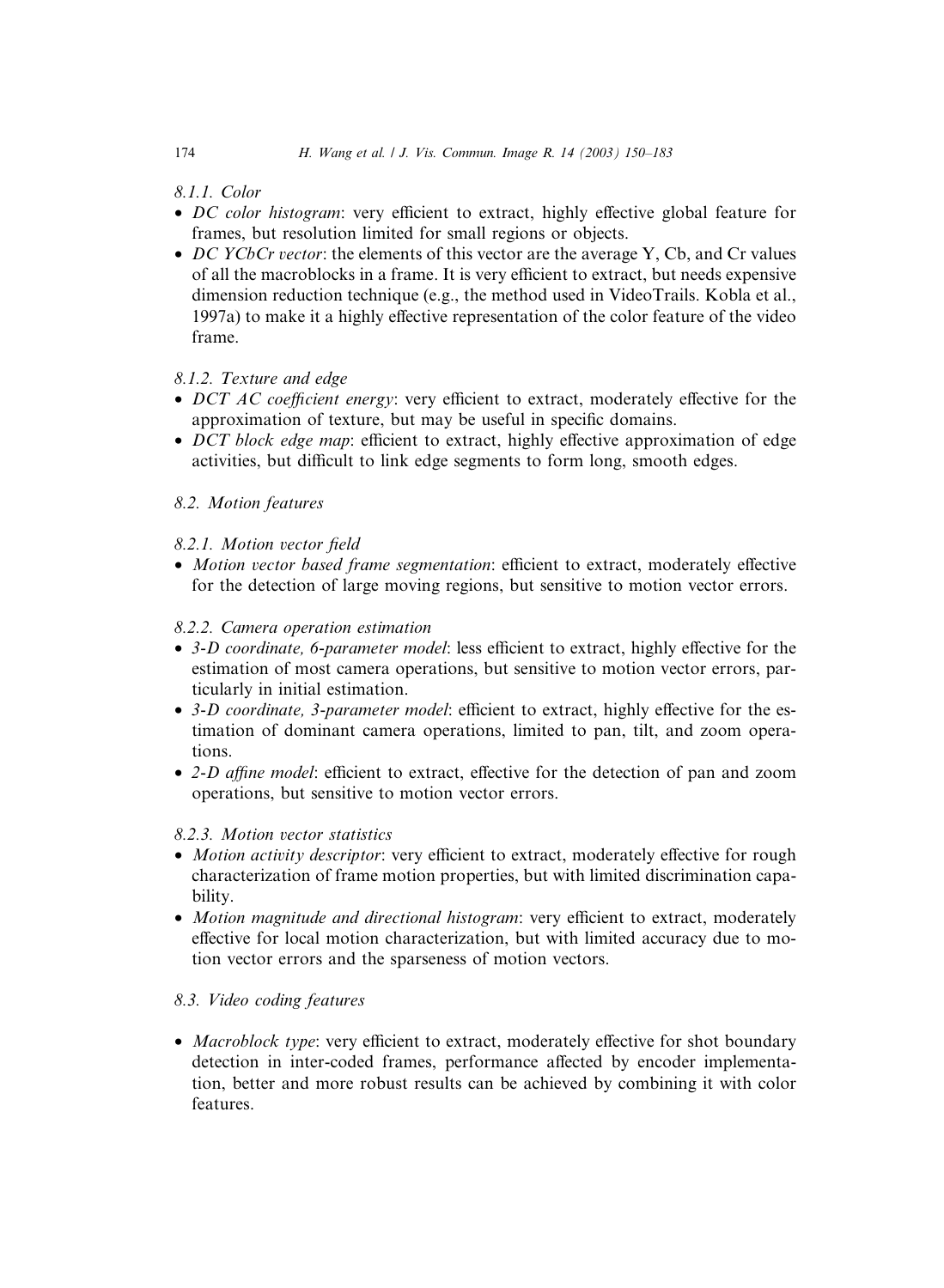# 8.1.1. Color

- DC color histogram: very efficient to extract, highly effective global feature for frames, but resolution limited for small regions or objects.
- DC YCbCr vector: the elements of this vector are the average Y, Cb, and Cr values of all the macroblocks in a frame. It is very efficient to extract, but needs expensive dimension reduction technique (e.g., the method used in VideoTrails. Kobla et al., 1997a) to make it a highly effective representation of the color feature of the video frame.

# 8.1.2. Texture and edge

- DCT AC coefficient energy: very efficient to extract, moderately effective for the approximation of texture, but may be useful in specific domains.
- DCT block edge map: efficient to extract, highly effective approximation of edge activities, but difficult to link edge segments to form long, smooth edges.

# 8.2. Motion features

# 8.2.1. Motion vector field

• Motion vector based frame segmentation: efficient to extract, moderately effective for the detection of large moving regions, but sensitive to motion vector errors.

# 8.2.2. Camera operation estimation

- 3-D coordinate, 6-parameter model: less efficient to extract, highly effective for the estimation of most camera operations, but sensitive to motion vector errors, particularly in initial estimation.
- 3-D coordinate, 3-parameter model: efficient to extract, highly effective for the estimation of dominant camera operations, limited to pan, tilt, and zoom operations.
- 2-D affine model: efficient to extract, effective for the detection of pan and zoom operations, but sensitive to motion vector errors.

# 8.2.3. Motion vector statistics

- Motion activity descriptor: very efficient to extract, moderately effective for rough characterization of frame motion properties, but with limited discrimination capability.
- Motion magnitude and directional histogram: very efficient to extract, moderately effective for local motion characterization, but with limited accuracy due to motion vector errors and the sparseness of motion vectors.

# 8.3. Video coding features

• Macroblock type: very efficient to extract, moderately effective for shot boundary detection in inter-coded frames, performance affected by encoder implementation, better and more robust results can be achieved by combining it with color features.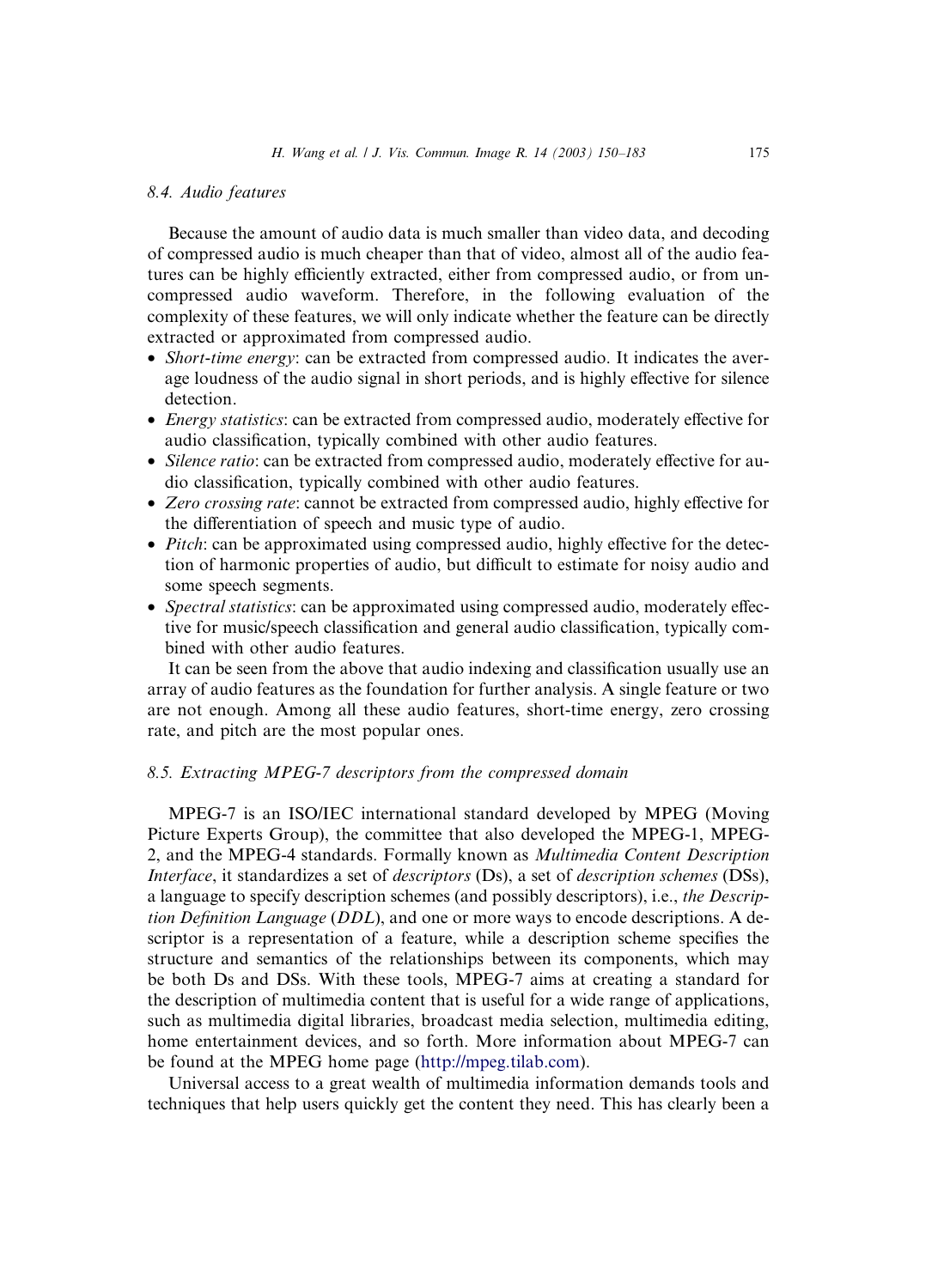# 8.4. Audio features

Because the amount of audio data is much smaller than video data, and decoding of compressed audio is much cheaper than that of video, almost all of the audio features can be highly efficiently extracted, either from compressed audio, or from uncompressed audio waveform. Therefore, in the following evaluation of the complexity of these features, we will only indicate whether the feature can be directly extracted or approximated from compressed audio.

- *Short-time energy*: can be extracted from compressed audio. It indicates the average loudness of the audio signal in short periods, and is highly effective for silence detection.
- Energy statistics: can be extracted from compressed audio, moderately effective for audio classification, typically combined with other audio features.
- Silence ratio: can be extracted from compressed audio, moderately effective for audio classification, typically combined with other audio features.
- Zero crossing rate: cannot be extracted from compressed audio, highly effective for the differentiation of speech and music type of audio.
- $\bullet$  *Pitch*: can be approximated using compressed audio, highly effective for the detection of harmonic properties of audio, but difficult to estimate for noisy audio and some speech segments.
- Spectral statistics: can be approximated using compressed audio, moderately effective for music/speech classification and general audio classification, typically combined with other audio features.

It can be seen from the above that audio indexing and classification usually use an array of audio features as the foundation for further analysis. A single feature or two are not enough. Among all these audio features, short-time energy, zero crossing rate, and pitch are the most popular ones.

### 8.5. Extracting MPEG-7 descriptors from the compressed domain

MPEG-7 is an ISO/IEC international standard developed by MPEG (Moving Picture Experts Group), the committee that also developed the MPEG-1, MPEG-2, and the MPEG-4 standards. Formally known as Multimedia Content Description Interface, it standardizes a set of *descriptors* (Ds), a set of *description schemes* (DSs), a language to specify description schemes (and possibly descriptors), i.e., the Description Definition Language (DDL), and one or more ways to encode descriptions. A descriptor is a representation of a feature, while a description scheme specifies the structure and semantics of the relationships between its components, which may be both Ds and DSs. With these tools, MPEG-7 aims at creating a standard for the description of multimedia content that is useful for a wide range of applications, such as multimedia digital libraries, broadcast media selection, multimedia editing, home entertainment devices, and so forth. More information about MPEG-7 can be found at the MPEG home page (<http://mpeg.tilab.com>).

Universal access to a great wealth of multimedia information demands tools and techniques that help users quickly get the content they need. This has clearly been a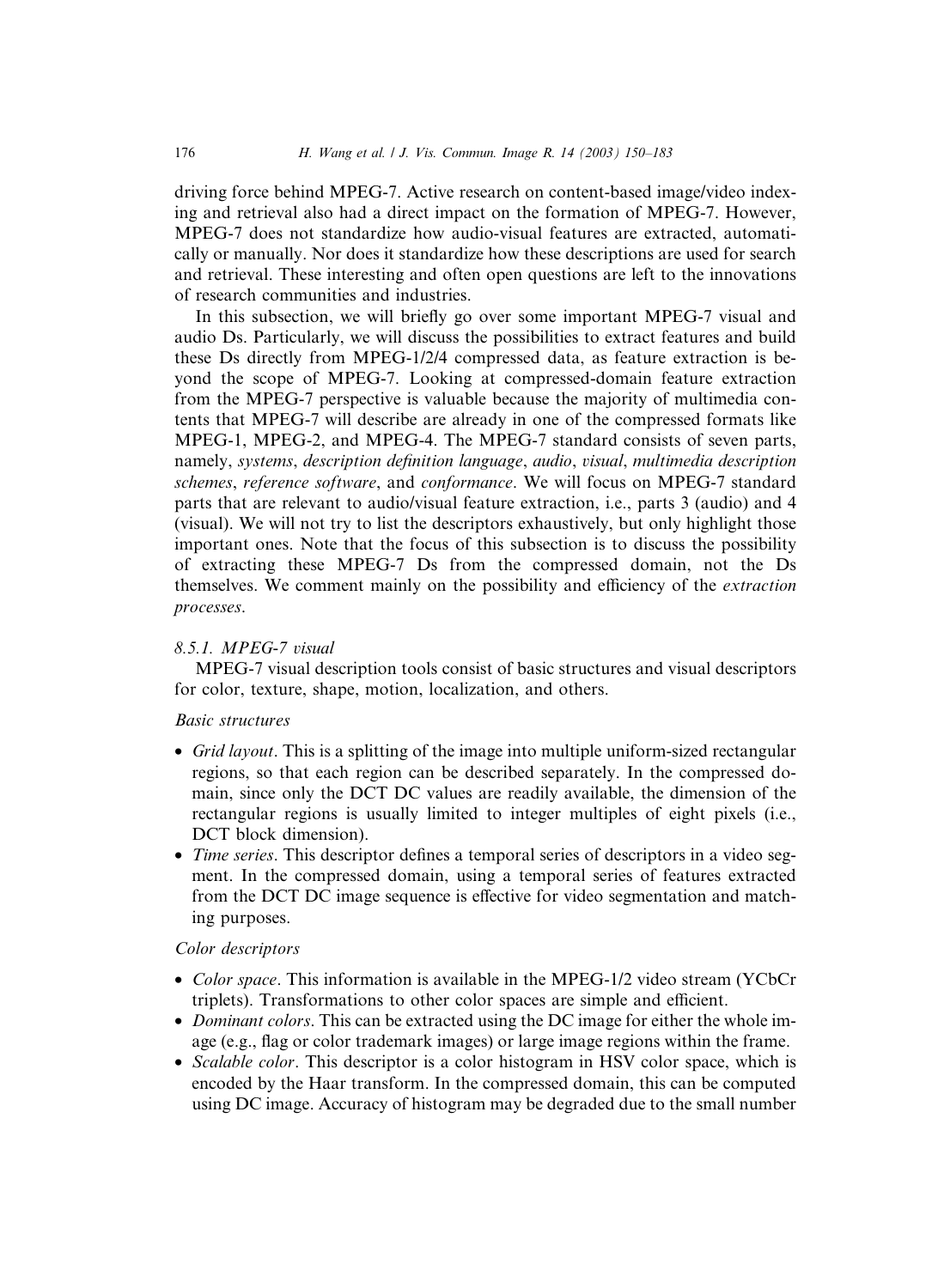driving force behind MPEG-7. Active research on content-based image/video indexing and retrieval also had a direct impact on the formation of MPEG-7. However, MPEG-7 does not standardize how audio-visual features are extracted, automatically or manually. Nor does it standardize how these descriptions are used for search and retrieval. These interesting and often open questions are left to the innovations of research communities and industries.

In this subsection, we will briefly go over some important MPEG-7 visual and audio Ds. Particularly, we will discuss the possibilities to extract features and build these Ds directly from MPEG-1/2/4 compressed data, as feature extraction is beyond the scope of MPEG-7. Looking at compressed-domain feature extraction from the MPEG-7 perspective is valuable because the majority of multimedia contents that MPEG-7 will describe are already in one of the compressed formats like MPEG-1, MPEG-2, and MPEG-4. The MPEG-7 standard consists of seven parts, namely, systems, description definition language, audio, visual, multimedia description schemes, reference software, and conformance. We will focus on MPEG-7 standard parts that are relevant to audio/visual feature extraction, i.e., parts 3 (audio) and 4 (visual). We will not try to list the descriptors exhaustively, but only highlight those important ones. Note that the focus of this subsection is to discuss the possibility of extracting these MPEG-7 Ds from the compressed domain, not the Ds themselves. We comment mainly on the possibility and efficiency of the extraction processes.

# 8.5.1. MPEG-7 visual

MPEG-7 visual description tools consist of basic structures and visual descriptors for color, texture, shape, motion, localization, and others.

#### Basic structures

- Grid layout. This is a splitting of the image into multiple uniform-sized rectangular regions, so that each region can be described separately. In the compressed domain, since only the DCT DC values are readily available, the dimension of the rectangular regions is usually limited to integer multiples of eight pixels (i.e., DCT block dimension).
- *Time series*. This descriptor defines a temporal series of descriptors in a video segment. In the compressed domain, using a temporal series of features extracted from the DCT DC image sequence is effective for video segmentation and matching purposes.

# Color descriptors

- *Color space*. This information is available in the MPEG-1/2 video stream (YCbCr triplets). Transformations to other color spaces are simple and efficient.
- *Dominant colors*. This can be extracted using the DC image for either the whole image (e.g., flag or color trademark images) or large image regions within the frame.
- Scalable color. This descriptor is a color histogram in HSV color space, which is encoded by the Haar transform. In the compressed domain, this can be computed using DC image. Accuracy of histogram may be degraded due to the small number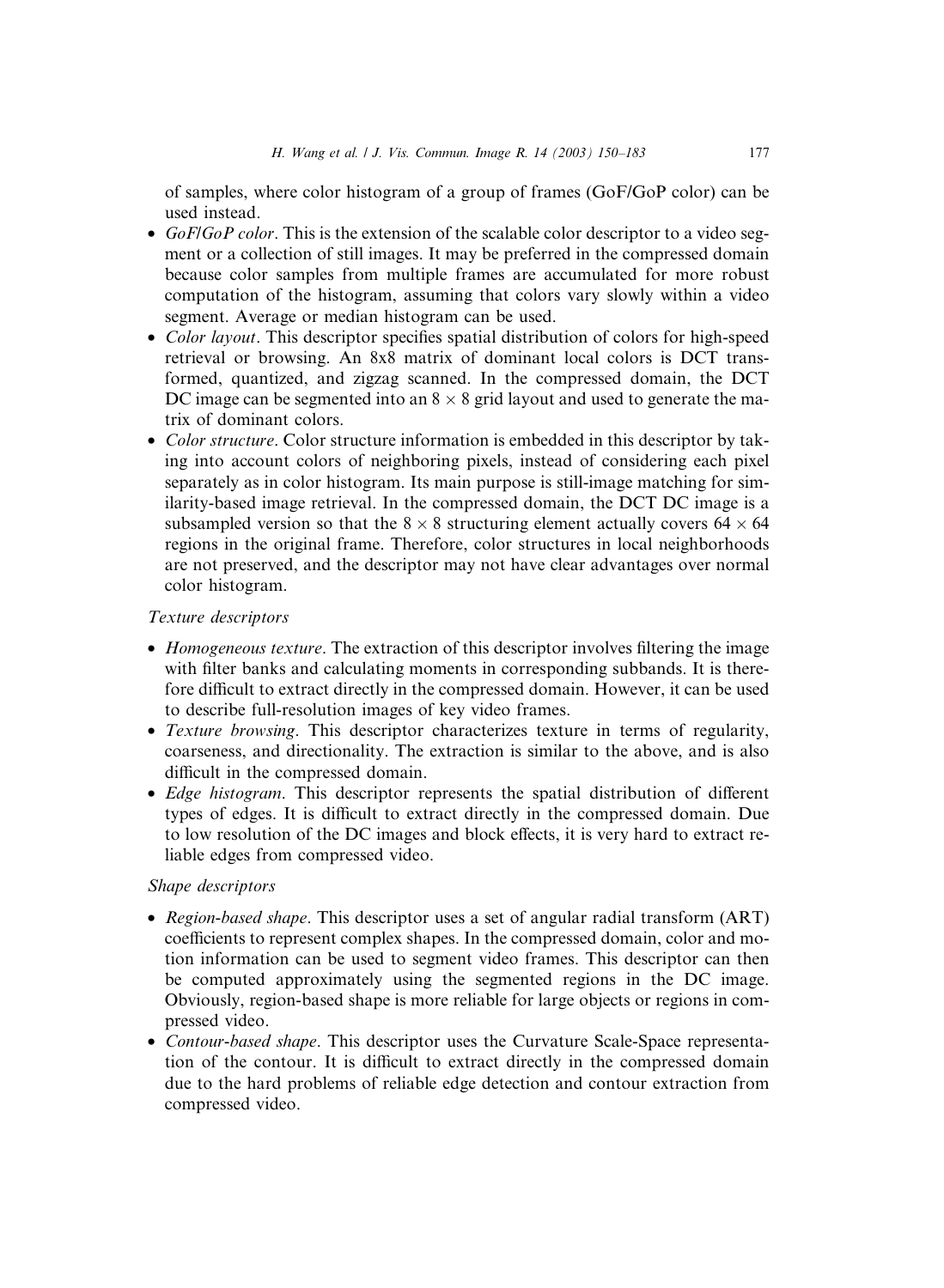of samples, where color histogram of a group of frames (GoF/GoP color) can be used instead.

- GoF/GoP color. This is the extension of the scalable color descriptor to a video segment or a collection of still images. It may be preferred in the compressed domain because color samples from multiple frames are accumulated for more robust computation of the histogram, assuming that colors vary slowly within a video segment. Average or median histogram can be used.
- *Color layout*. This descriptor specifies spatial distribution of colors for high-speed retrieval or browsing. An 8x8 matrix of dominant local colors is DCT transformed, quantized, and zigzag scanned. In the compressed domain, the DCT DC image can be segmented into an  $8 \times 8$  grid layout and used to generate the matrix of dominant colors.
- Color structure. Color structure information is embedded in this descriptor by taking into account colors of neighboring pixels, instead of considering each pixel separately as in color histogram. Its main purpose is still-image matching for similarity-based image retrieval. In the compressed domain, the DCT DC image is a subsampled version so that the  $8 \times 8$  structuring element actually covers  $64 \times 64$ regions in the original frame. Therefore, color structures in local neighborhoods are not preserved, and the descriptor may not have clear advantages over normal color histogram.

# Texture descriptors

- Homogeneous texture. The extraction of this descriptor involves filtering the image with filter banks and calculating moments in corresponding subbands. It is therefore difficult to extract directly in the compressed domain. However, it can be used to describe full-resolution images of key video frames.
- Texture browsing. This descriptor characterizes texture in terms of regularity, coarseness, and directionality. The extraction is similar to the above, and is also difficult in the compressed domain.
- Edge histogram. This descriptor represents the spatial distribution of different types of edges. It is difficult to extract directly in the compressed domain. Due to low resolution of the DC images and block effects, it is very hard to extract reliable edges from compressed video.

# Shape descriptors

- Region-based shape. This descriptor uses a set of angular radial transform (ART) coefficients to represent complex shapes. In the compressed domain, color and motion information can be used to segment video frames. This descriptor can then be computed approximately using the segmented regions in the DC image. Obviously, region-based shape is more reliable for large objects or regions in compressed video.
- Contour-based shape. This descriptor uses the Curvature Scale-Space representation of the contour. It is difficult to extract directly in the compressed domain due to the hard problems of reliable edge detection and contour extraction from compressed video.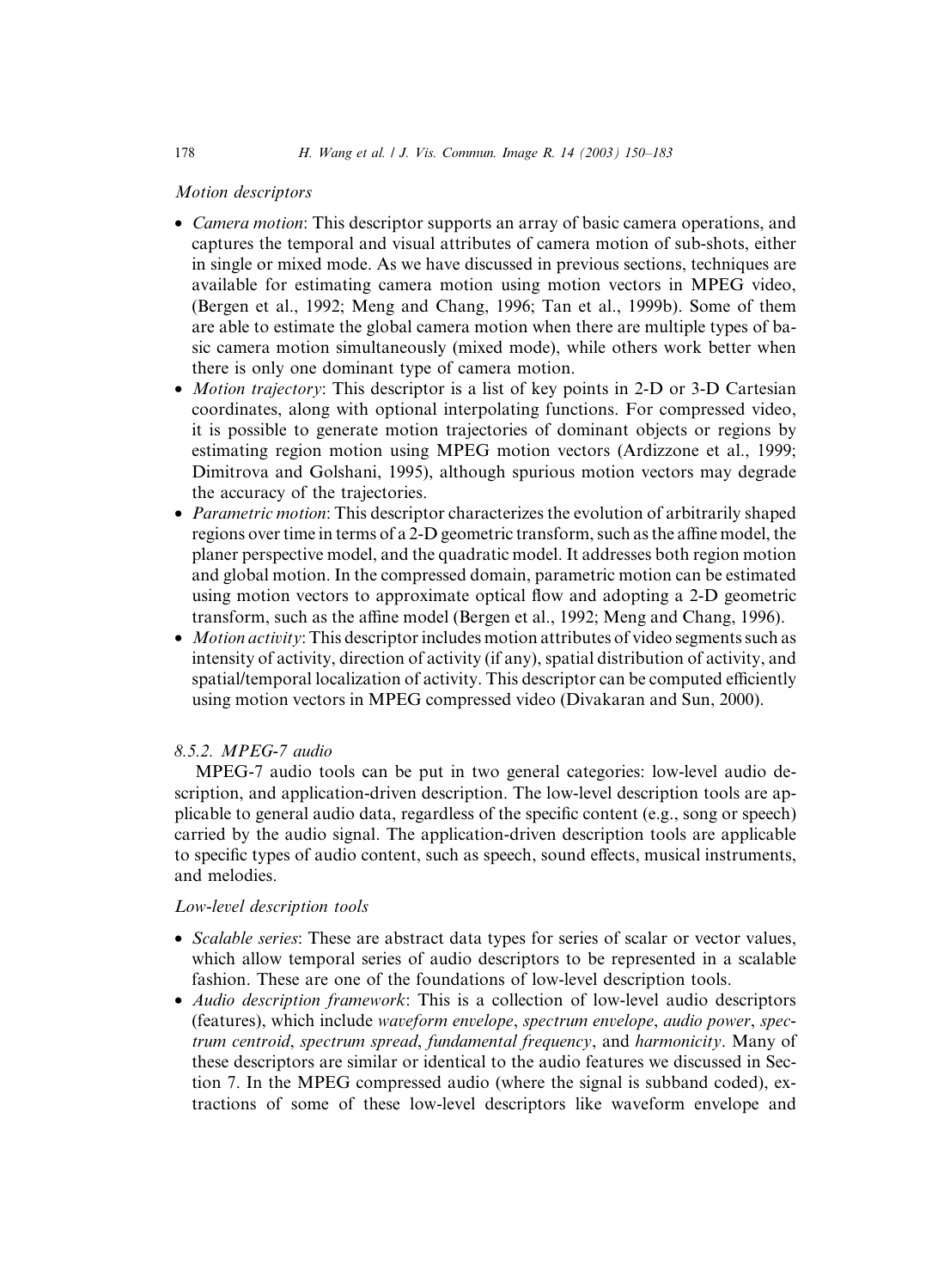## Motion descriptors

- *Camera motion*: This descriptor supports an array of basic camera operations, and captures the temporal and visual attributes of camera motion of sub-shots, either in single or mixed mode. As we have discussed in previous sections, techniques are available for estimating camera motion using motion vectors in MPEG video, (Bergen et al., 1992; Meng and Chang, 1996; Tan et al., 1999b). Some of them are able to estimate the global camera motion when there are multiple types of basic camera motion simultaneously (mixed mode), while others work better when there is only one dominant type of camera motion.
- *Motion trajectory*: This descriptor is a list of key points in 2-D or 3-D Cartesian coordinates, along with optional interpolating functions. For compressed video, it is possible to generate motion trajectories of dominant objects or regions by estimating region motion using MPEG motion vectors (Ardizzone et al., 1999; Dimitrova and Golshani, 1995), although spurious motion vectors may degrade the accuracy of the trajectories.
- Parametric motion: This descriptor characterizes the evolution of arbitrarily shaped regions over time in terms of a 2-D geometric transform, such as the affine model, the planer perspective model, and the quadratic model. It addresses both region motion and global motion. In the compressed domain, parametric motion can be estimated using motion vectors to approximate optical flow and adopting a 2-D geometric transform, such as the affine model (Bergen et al., 1992; Meng and Chang, 1996).
- Motion activity: This descriptor includes motion attributes of video segments such as intensity of activity, direction of activity (if any), spatial distribution of activity, and spatial/temporal localization of activity. This descriptor can be computed efficiently using motion vectors in MPEG compressed video (Divakaran and Sun, 2000).

# 8.5.2. MPEG-7 audio

MPEG-7 audio tools can be put in two general categories: low-level audio description, and application-driven description. The low-level description tools are applicable to general audio data, regardless of the specific content (e.g., song or speech) carried by the audio signal. The application-driven description tools are applicable to specific types of audio content, such as speech, sound effects, musical instruments, and melodies.

# Low-level description tools

- Scalable series: These are abstract data types for series of scalar or vector values, which allow temporal series of audio descriptors to be represented in a scalable fashion. These are one of the foundations of low-level description tools.
- Audio description framework: This is a collection of low-level audio descriptors (features), which include waveform envelope, spectrum envelope, audio power, spectrum centroid, spectrum spread, fundamental frequency, and harmonicity. Many of these descriptors are similar or identical to the audio features we discussed in Section 7. In the MPEG compressed audio (where the signal is subband coded), extractions of some of these low-level descriptors like waveform envelope and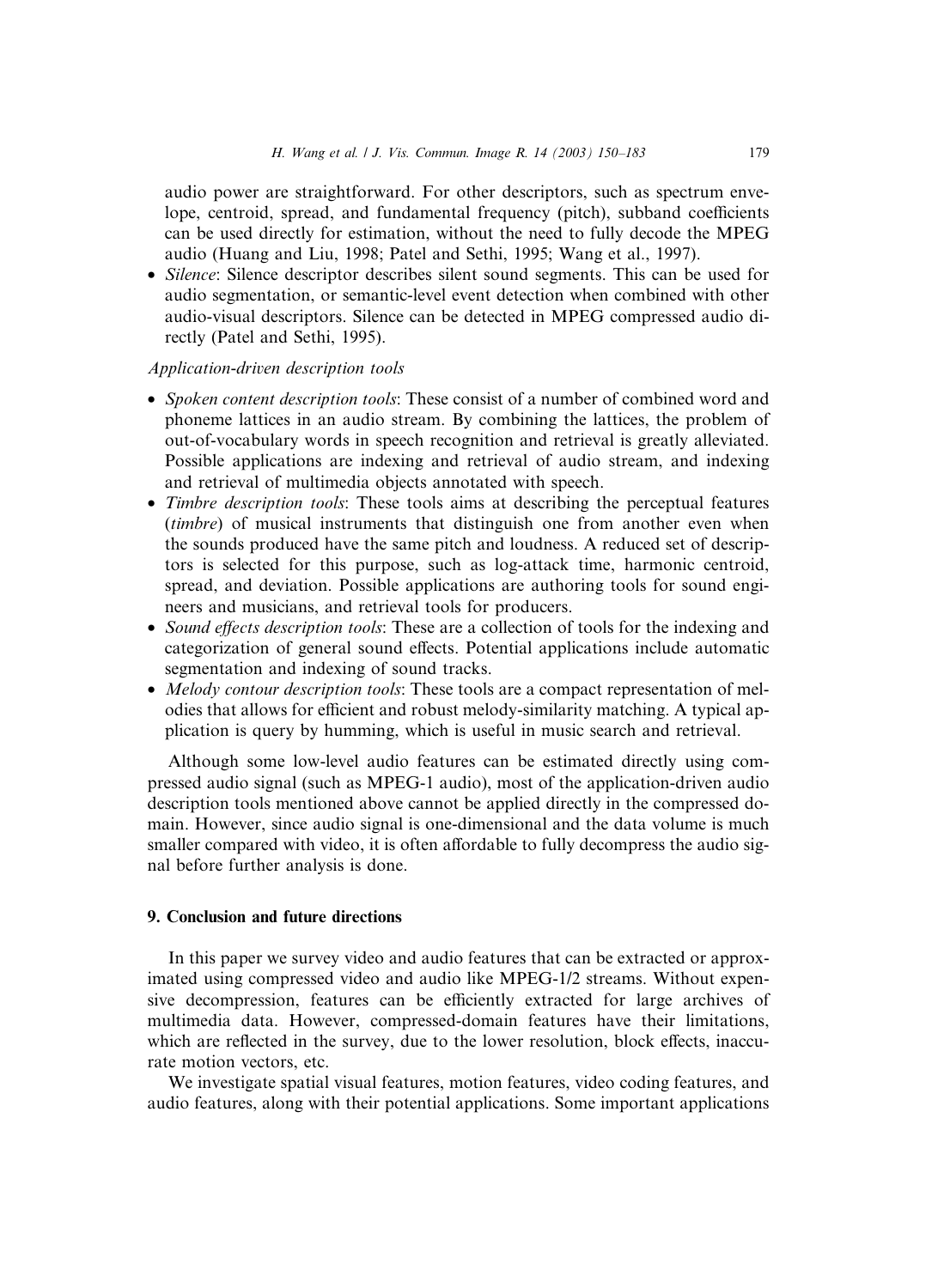audio power are straightforward. For other descriptors, such as spectrum envelope, centroid, spread, and fundamental frequency (pitch), subband coefficients can be used directly for estimation, without the need to fully decode the MPEG audio (Huang and Liu, 1998; Patel and Sethi, 1995; Wang et al., 1997).

• Silence: Silence descriptor describes silent sound segments. This can be used for audio segmentation, or semantic-level event detection when combined with other audio-visual descriptors. Silence can be detected in MPEG compressed audio directly (Patel and Sethi, 1995).

# Application-driven description tools

- *Spoken content description tools*: These consist of a number of combined word and phoneme lattices in an audio stream. By combining the lattices, the problem of out-of-vocabulary words in speech recognition and retrieval is greatly alleviated. Possible applications are indexing and retrieval of audio stream, and indexing and retrieval of multimedia objects annotated with speech.
- Timbre description tools: These tools aims at describing the perceptual features (timbre) of musical instruments that distinguish one from another even when the sounds produced have the same pitch and loudness. A reduced set of descriptors is selected for this purpose, such as log-attack time, harmonic centroid, spread, and deviation. Possible applications are authoring tools for sound engineers and musicians, and retrieval tools for producers.
- Sound effects description tools: These are a collection of tools for the indexing and categorization of general sound effects. Potential applications include automatic segmentation and indexing of sound tracks.
- Melody contour description tools: These tools are a compact representation of melodies that allows for efficient and robust melody-similarity matching. A typical application is query by humming, which is useful in music search and retrieval.

Although some low-level audio features can be estimated directly using compressed audio signal (such as MPEG-1 audio), most of the application-driven audio description tools mentioned above cannot be applied directly in the compressed domain. However, since audio signal is one-dimensional and the data volume is much smaller compared with video, it is often affordable to fully decompress the audio signal before further analysis is done.

# 9. Conclusion and future directions

In this paper we survey video and audio features that can be extracted or approximated using compressed video and audio like MPEG-1/2 streams. Without expensive decompression, features can be efficiently extracted for large archives of multimedia data. However, compressed-domain features have their limitations, which are reflected in the survey, due to the lower resolution, block effects, inaccurate motion vectors, etc.

We investigate spatial visual features, motion features, video coding features, and audio features, along with their potential applications. Some important applications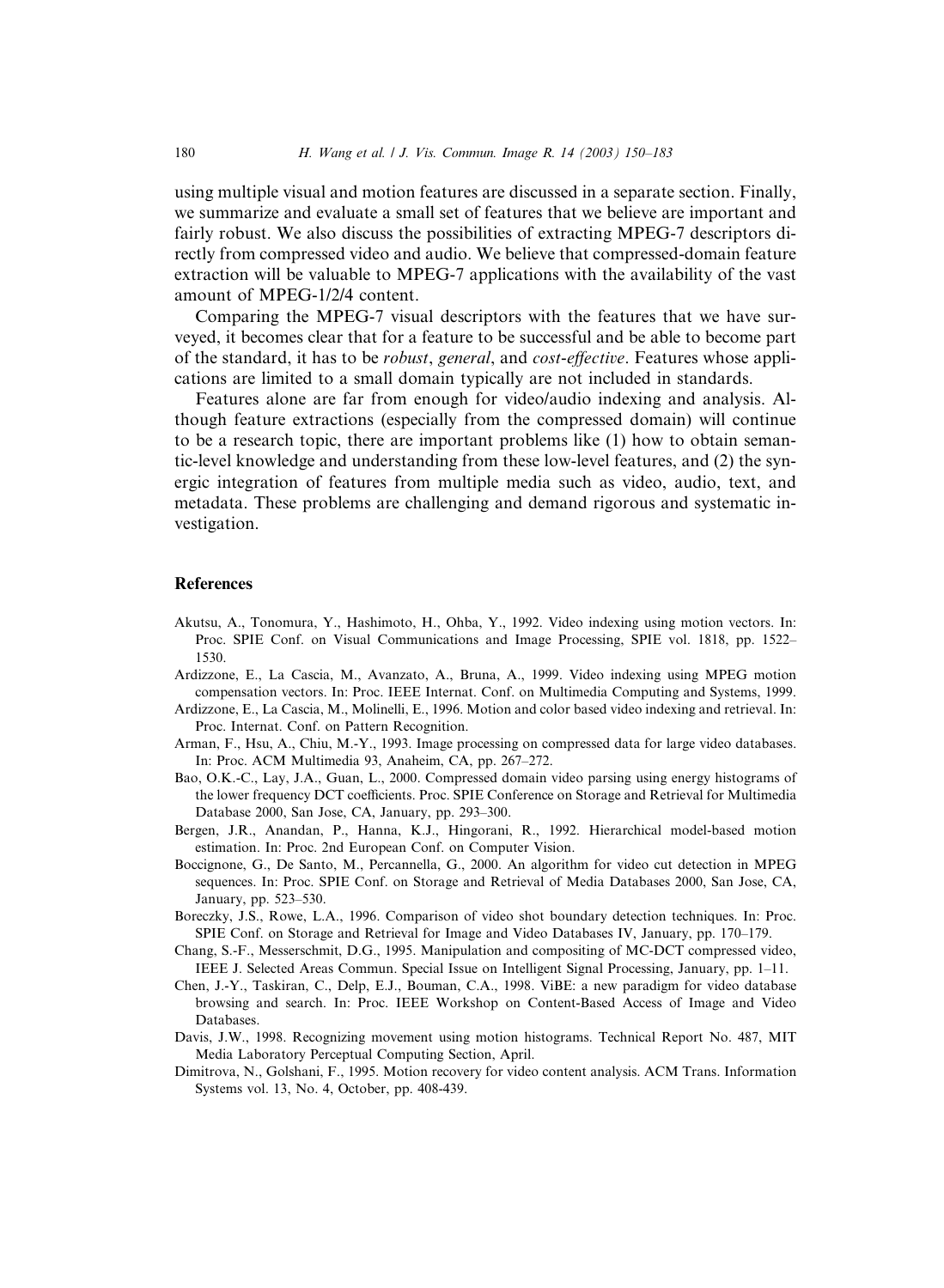using multiple visual and motion features are discussed in a separate section. Finally, we summarize and evaluate a small set of features that we believe are important and fairly robust. We also discuss the possibilities of extracting MPEG-7 descriptors directly from compressed video and audio. We believe that compressed-domain feature extraction will be valuable to MPEG-7 applications with the availability of the vast amount of MPEG-1/2/4 content.

Comparing the MPEG-7 visual descriptors with the features that we have surveyed, it becomes clear that for a feature to be successful and be able to become part of the standard, it has to be robust, general, and cost-effective. Features whose applications are limited to a small domain typically are not included in standards.

Features alone are far from enough for video/audio indexing and analysis. Although feature extractions (especially from the compressed domain) will continue to be a research topic, there are important problems like (1) how to obtain semantic-level knowledge and understanding from these low-level features, and (2) the synergic integration of features from multiple media such as video, audio, text, and metadata. These problems are challenging and demand rigorous and systematic investigation.

#### References

- Akutsu, A., Tonomura, Y., Hashimoto, H., Ohba, Y., 1992. Video indexing using motion vectors. In: Proc. SPIE Conf. on Visual Communications and Image Processing, SPIE vol. 1818, pp. 1522– 1530.
- Ardizzone, E., La Cascia, M., Avanzato, A., Bruna, A., 1999. Video indexing using MPEG motion compensation vectors. In: Proc. IEEE Internat. Conf. on Multimedia Computing and Systems, 1999.
- Ardizzone, E., La Cascia, M., Molinelli, E., 1996. Motion and color based video indexing and retrieval. In: Proc. Internat. Conf. on Pattern Recognition.
- Arman, F., Hsu, A., Chiu, M.-Y., 1993. Image processing on compressed data for large video databases. In: Proc. ACM Multimedia 93, Anaheim, CA, pp. 267–272.
- Bao, O.K.-C., Lay, J.A., Guan, L., 2000. Compressed domain video parsing using energy histograms of the lower frequency DCT coefficients. Proc. SPIE Conference on Storage and Retrieval for Multimedia Database 2000, San Jose, CA, January, pp. 293–300.
- Bergen, J.R., Anandan, P., Hanna, K.J., Hingorani, R., 1992. Hierarchical model-based motion estimation. In: Proc. 2nd European Conf. on Computer Vision.
- Boccignone, G., De Santo, M., Percannella, G., 2000. An algorithm for video cut detection in MPEG sequences. In: Proc. SPIE Conf. on Storage and Retrieval of Media Databases 2000, San Jose, CA, January, pp. 523–530.
- Boreczky, J.S., Rowe, L.A., 1996. Comparison of video shot boundary detection techniques. In: Proc. SPIE Conf. on Storage and Retrieval for Image and Video Databases IV, January, pp. 170–179.
- Chang, S.-F., Messerschmit, D.G., 1995. Manipulation and compositing of MC-DCT compressed video, IEEE J. Selected Areas Commun. Special Issue on Intelligent Signal Processing, January, pp. 1–11.
- Chen, J.-Y., Taskiran, C., Delp, E.J., Bouman, C.A., 1998. ViBE: a new paradigm for video database browsing and search. In: Proc. IEEE Workshop on Content-Based Access of Image and Video **Databases**
- Davis, J.W., 1998. Recognizing movement using motion histograms. Technical Report No. 487, MIT Media Laboratory Perceptual Computing Section, April.
- Dimitrova, N., Golshani, F., 1995. Motion recovery for video content analysis. ACM Trans. Information Systems vol. 13, No. 4, October, pp. 408-439.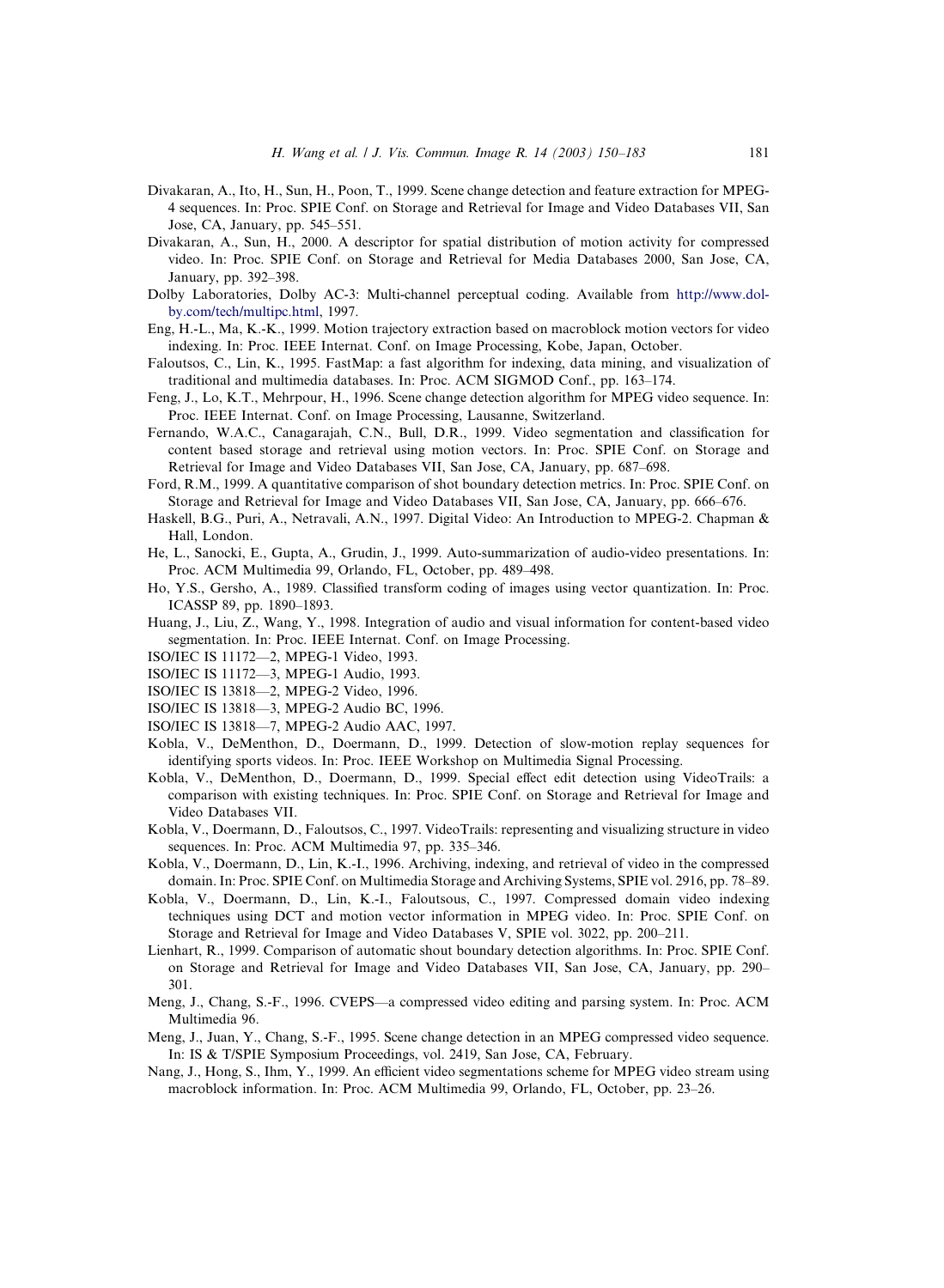- Divakaran, A., Ito, H., Sun, H., Poon, T., 1999. Scene change detection and feature extraction for MPEG-4 sequences. In: Proc. SPIE Conf. on Storage and Retrieval for Image and Video Databases VII, San Jose, CA, January, pp. 545–551.
- Divakaran, A., Sun, H., 2000. A descriptor for spatial distribution of motion activity for compressed video. In: Proc. SPIE Conf. on Storage and Retrieval for Media Databases 2000, San Jose, CA, January, pp. 392–398.
- Dolby Laboratories, Dolby AC-3: Multi-channel perceptual coding. Available from [http://www.dol](http://www.dolby.com/tech/multipc.html)[by.com/tech/multipc.html](http://www.dolby.com/tech/multipc.html), 1997.
- Eng, H.-L., Ma, K.-K., 1999. Motion trajectory extraction based on macroblock motion vectors for video indexing. In: Proc. IEEE Internat. Conf. on Image Processing, Kobe, Japan, October.
- Faloutsos, C., Lin, K., 1995. FastMap: a fast algorithm for indexing, data mining, and visualization of traditional and multimedia databases. In: Proc. ACM SIGMOD Conf., pp. 163–174.
- Feng, J., Lo, K.T., Mehrpour, H., 1996. Scene change detection algorithm for MPEG video sequence. In: Proc. IEEE Internat. Conf. on Image Processing, Lausanne, Switzerland.
- Fernando, W.A.C., Canagarajah, C.N., Bull, D.R., 1999. Video segmentation and classification for content based storage and retrieval using motion vectors. In: Proc. SPIE Conf. on Storage and Retrieval for Image and Video Databases VII, San Jose, CA, January, pp. 687–698.
- Ford, R.M., 1999. A quantitative comparison of shot boundary detection metrics. In: Proc. SPIE Conf. on Storage and Retrieval for Image and Video Databases VII, San Jose, CA, January, pp. 666–676.
- Haskell, B.G., Puri, A., Netravali, A.N., 1997. Digital Video: An Introduction to MPEG-2. Chapman & Hall, London.
- He, L., Sanocki, E., Gupta, A., Grudin, J., 1999. Auto-summarization of audio-video presentations. In: Proc. ACM Multimedia 99, Orlando, FL, October, pp. 489–498.
- Ho, Y.S., Gersho, A., 1989. Classified transform coding of images using vector quantization. In: Proc. ICASSP 89, pp. 1890–1893.
- Huang, J., Liu, Z., Wang, Y., 1998. Integration of audio and visual information for content-based video segmentation. In: Proc. IEEE Internat. Conf. on Image Processing.
- ISO/IEC IS 11172—2, MPEG-1 Video, 1993.
- ISO/IEC IS 11172—3, MPEG-1 Audio, 1993.
- ISO/IEC IS 13818—2, MPEG-2 Video, 1996.
- ISO/IEC IS 13818—3, MPEG-2 Audio BC, 1996.
- ISO/IEC IS 13818—7, MPEG-2 Audio AAC, 1997.
- Kobla, V., DeMenthon, D., Doermann, D., 1999. Detection of slow-motion replay sequences for identifying sports videos. In: Proc. IEEE Workshop on Multimedia Signal Processing.
- Kobla, V., DeMenthon, D., Doermann, D., 1999. Special effect edit detection using VideoTrails: a comparison with existing techniques. In: Proc. SPIE Conf. on Storage and Retrieval for Image and Video Databases VII.
- Kobla, V., Doermann, D., Faloutsos, C., 1997. VideoTrails: representing and visualizing structure in video sequences. In: Proc. ACM Multimedia 97, pp. 335–346.
- Kobla, V., Doermann, D., Lin, K.-I., 1996. Archiving, indexing, and retrieval of video in the compressed domain. In: Proc. SPIE Conf. on Multimedia Storage and Archiving Systems, SPIE vol. 2916, pp. 78–89.
- Kobla, V., Doermann, D., Lin, K.-I., Faloutsous, C., 1997. Compressed domain video indexing techniques using DCT and motion vector information in MPEG video. In: Proc. SPIE Conf. on Storage and Retrieval for Image and Video Databases V, SPIE vol. 3022, pp. 200–211.
- Lienhart, R., 1999. Comparison of automatic shout boundary detection algorithms. In: Proc. SPIE Conf. on Storage and Retrieval for Image and Video Databases VII, San Jose, CA, January, pp. 290– 301.
- Meng, J., Chang, S.-F., 1996. CVEPS—a compressed video editing and parsing system. In: Proc. ACM Multimedia 96.
- Meng, J., Juan, Y., Chang, S.-F., 1995. Scene change detection in an MPEG compressed video sequence. In: IS & T/SPIE Symposium Proceedings, vol. 2419, San Jose, CA, February.
- Nang, J., Hong, S., Ihm, Y., 1999. An efficient video segmentations scheme for MPEG video stream using macroblock information. In: Proc. ACM Multimedia 99, Orlando, FL, October, pp. 23–26.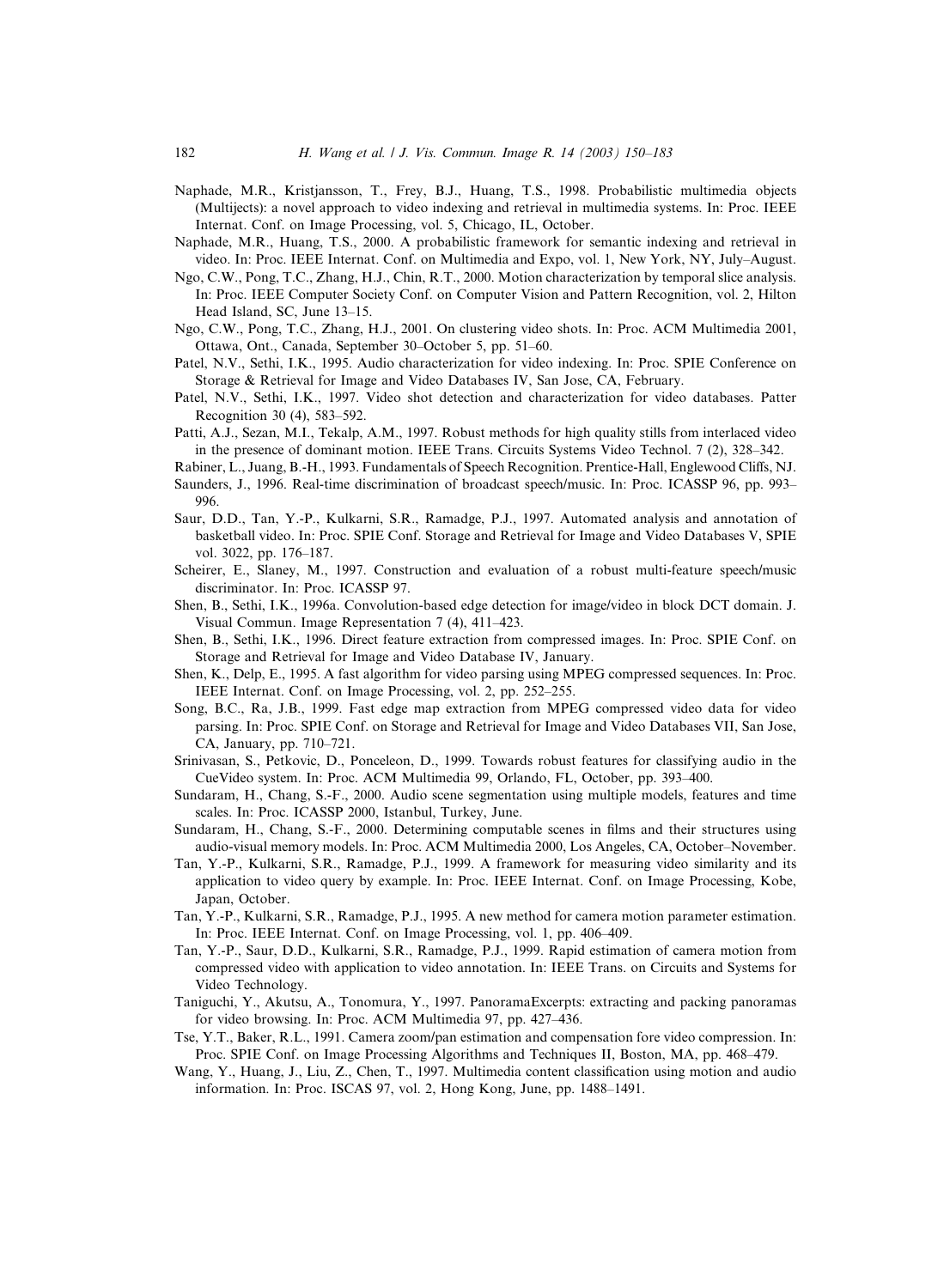- Naphade, M.R., Kristjansson, T., Frey, B.J., Huang, T.S., 1998. Probabilistic multimedia objects (Multijects): a novel approach to video indexing and retrieval in multimedia systems. In: Proc. IEEE Internat. Conf. on Image Processing, vol. 5, Chicago, IL, October.
- Naphade, M.R., Huang, T.S., 2000. A probabilistic framework for semantic indexing and retrieval in video. In: Proc. IEEE Internat. Conf. on Multimedia and Expo, vol. 1, New York, NY, July–August.
- Ngo, C.W., Pong, T.C., Zhang, H.J., Chin, R.T., 2000. Motion characterization by temporal slice analysis. In: Proc. IEEE Computer Society Conf. on Computer Vision and Pattern Recognition, vol. 2, Hilton Head Island, SC, June 13–15.
- Ngo, C.W., Pong, T.C., Zhang, H.J., 2001. On clustering video shots. In: Proc. ACM Multimedia 2001, Ottawa, Ont., Canada, September 30–October 5, pp. 51–60.
- Patel, N.V., Sethi, I.K., 1995. Audio characterization for video indexing. In: Proc. SPIE Conference on Storage & Retrieval for Image and Video Databases IV, San Jose, CA, February.
- Patel, N.V., Sethi, I.K., 1997. Video shot detection and characterization for video databases. Patter Recognition 30 (4), 583–592.
- Patti, A.J., Sezan, M.I., Tekalp, A.M., 1997. Robust methods for high quality stills from interlaced video in the presence of dominant motion. IEEE Trans. Circuits Systems Video Technol. 7 (2), 328–342.

Rabiner, L., Juang, B.-H., 1993. Fundamentals of Speech Recognition. Prentice-Hall, Englewood Cliffs, NJ.

- Saunders, J., 1996. Real-time discrimination of broadcast speech/music. In: Proc. ICASSP 96, pp. 993– 996.
- Saur, D.D., Tan, Y.-P., Kulkarni, S.R., Ramadge, P.J., 1997. Automated analysis and annotation of basketball video. In: Proc. SPIE Conf. Storage and Retrieval for Image and Video Databases V, SPIE vol. 3022, pp. 176–187.
- Scheirer, E., Slaney, M., 1997. Construction and evaluation of a robust multi-feature speech/music discriminator. In: Proc. ICASSP 97.
- Shen, B., Sethi, I.K., 1996a. Convolution-based edge detection for image/video in block DCT domain. J. Visual Commun. Image Representation 7 (4), 411–423.
- Shen, B., Sethi, I.K., 1996. Direct feature extraction from compressed images. In: Proc. SPIE Conf. on Storage and Retrieval for Image and Video Database IV, January.
- Shen, K., Delp, E., 1995. A fast algorithm for video parsing using MPEG compressed sequences. In: Proc. IEEE Internat. Conf. on Image Processing, vol. 2, pp. 252–255.
- Song, B.C., Ra, J.B., 1999. Fast edge map extraction from MPEG compressed video data for video parsing. In: Proc. SPIE Conf. on Storage and Retrieval for Image and Video Databases VII, San Jose, CA, January, pp. 710–721.
- Srinivasan, S., Petkovic, D., Ponceleon, D., 1999. Towards robust features for classifying audio in the CueVideo system. In: Proc. ACM Multimedia 99, Orlando, FL, October, pp. 393–400.
- Sundaram, H., Chang, S.-F., 2000. Audio scene segmentation using multiple models, features and time scales. In: Proc. ICASSP 2000, Istanbul, Turkey, June.
- Sundaram, H., Chang, S.-F., 2000. Determining computable scenes in films and their structures using audio-visual memory models. In: Proc. ACM Multimedia 2000, Los Angeles, CA, October–November.
- Tan, Y.-P., Kulkarni, S.R., Ramadge, P.J., 1999. A framework for measuring video similarity and its application to video query by example. In: Proc. IEEE Internat. Conf. on Image Processing, Kobe, Japan, October.
- Tan, Y.-P., Kulkarni, S.R., Ramadge, P.J., 1995. A new method for camera motion parameter estimation. In: Proc. IEEE Internat. Conf. on Image Processing, vol. 1, pp. 406–409.
- Tan, Y.-P., Saur, D.D., Kulkarni, S.R., Ramadge, P.J., 1999. Rapid estimation of camera motion from compressed video with application to video annotation. In: IEEE Trans. on Circuits and Systems for Video Technology.
- Taniguchi, Y., Akutsu, A., Tonomura, Y., 1997. PanoramaExcerpts: extracting and packing panoramas for video browsing. In: Proc. ACM Multimedia 97, pp. 427–436.
- Tse, Y.T., Baker, R.L., 1991. Camera zoom/pan estimation and compensation fore video compression. In: Proc. SPIE Conf. on Image Processing Algorithms and Techniques II, Boston, MA, pp. 468–479.
- Wang, Y., Huang, J., Liu, Z., Chen, T., 1997. Multimedia content classification using motion and audio information. In: Proc. ISCAS 97, vol. 2, Hong Kong, June, pp. 1488–1491.